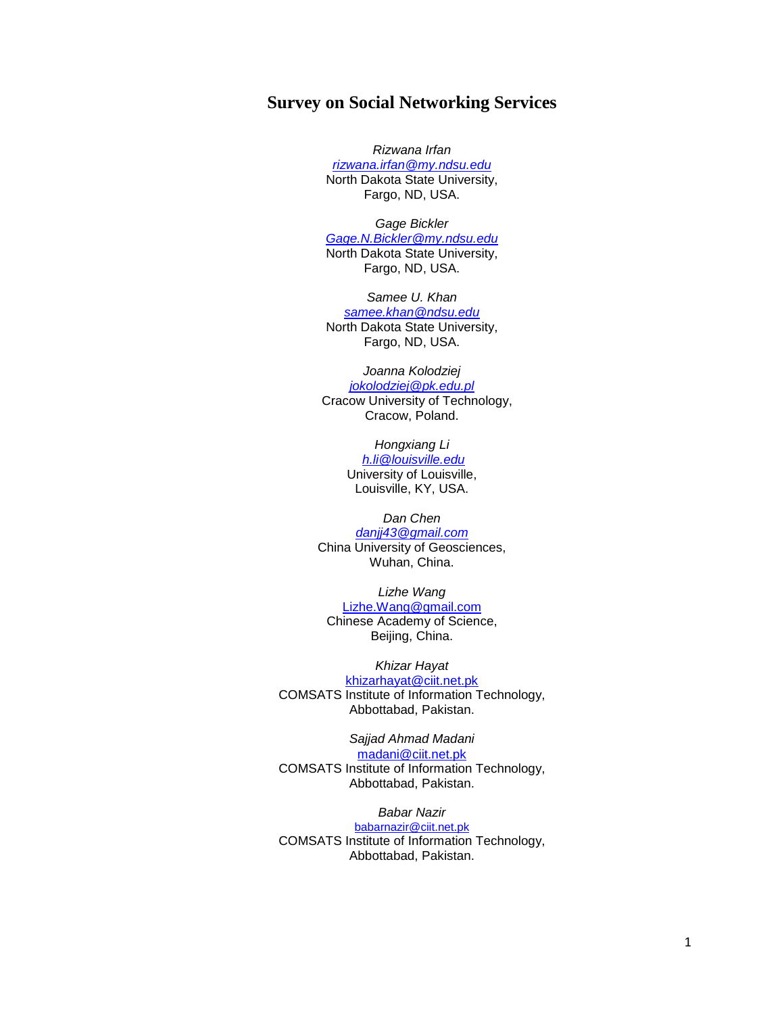# **Survey on Social Networking Services**

*Rizwana Irfan [rizwana.irfan@my.ndsu.edu](mailto:rizwana.irfan@my.ndsu.edu)* North Dakota State University, Fargo, ND, USA.

*Gage Bickler [Gage.N.Bickler@my.ndsu.edu](mailto:Gage.N.Bickler@my.ndsu.edu)* North Dakota State University, Fargo, ND, USA.

*Samee U. Khan [samee.khan@ndsu.edu](mailto:samee.khan@ndsu.edu)* North Dakota State University, Fargo, ND, USA.

*Joanna Kolodziej [jokolodziej@pk.edu.pl](mailto:jokolodziej@pk.edu.pl)* Cracow University of Technology, Cracow, Poland.

> *Hongxiang Li [h.li@louisville.edu](mailto:h.li@louisville.edu)* University of Louisville, Louisville, KY, USA.

*Dan Chen danjj43@gmail.com* China University of Geosciences, Wuhan, China.

*Lizhe Wang* [Lizhe.Wang@gmail.com](mailto:Lizhe.Wang@gmail.com) Chinese Academy of Science, Beijing, China.

*Khizar Hayat* [khizarhayat@ciit.net.pk](mailto:khizarhayat@ciit.net.pk) COMSATS Institute of Information Technology, Abbottabad, Pakistan.

*Sajjad Ahmad Madani* [madani@ciit.net.pk](mailto:madani@ciit.net.pk) COMSATS Institute of Information Technology, Abbottabad, Pakistan.

*Babar Nazir* [babarnazir@ciit.net.pk](mailto:babarnazir@ciit.net.pk) COMSATS Institute of Information Technology, Abbottabad, Pakistan.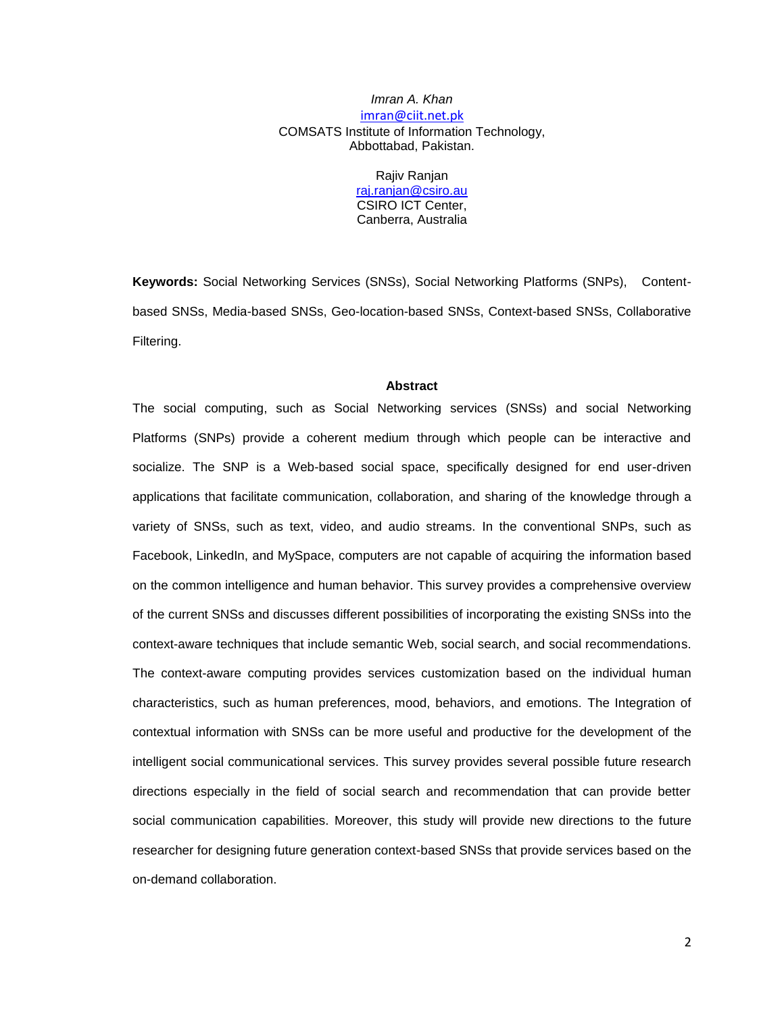# *Imran A. Khan* [imran@ciit.net.pk](mailto:imran@ciit.net.pk) COMSATS Institute of Information Technology, Abbottabad, Pakistan.

Rajiv Ranjan [raj.ranjan@csiro.au](mailto:raj.ranjan@csiro.au) CSIRO ICT Center, Canberra, Australia

**Keywords:** Social Networking Services (SNSs), Social Networking Platforms (SNPs), Contentbased SNSs, Media-based SNSs, Geo-location-based SNSs, Context-based SNSs, Collaborative Filtering.

#### **Abstract**

The social computing, such as Social Networking services (SNSs) and social Networking Platforms (SNPs) provide a coherent medium through which people can be interactive and socialize. The SNP is a Web-based social space, specifically designed for end user-driven applications that facilitate communication, collaboration, and sharing of the knowledge through a variety of SNSs, such as text, video, and audio streams. In the conventional SNPs, such as Facebook, LinkedIn, and MySpace, computers are not capable of acquiring the information based on the common intelligence and human behavior. This survey provides a comprehensive overview of the current SNSs and discusses different possibilities of incorporating the existing SNSs into the context-aware techniques that include semantic Web, social search, and social recommendations. The context-aware computing provides services customization based on the individual human characteristics, such as human preferences, mood, behaviors, and emotions. The Integration of contextual information with SNSs can be more useful and productive for the development of the intelligent social communicational services. This survey provides several possible future research directions especially in the field of social search and recommendation that can provide better social communication capabilities. Moreover, this study will provide new directions to the future researcher for designing future generation context-based SNSs that provide services based on the on-demand collaboration.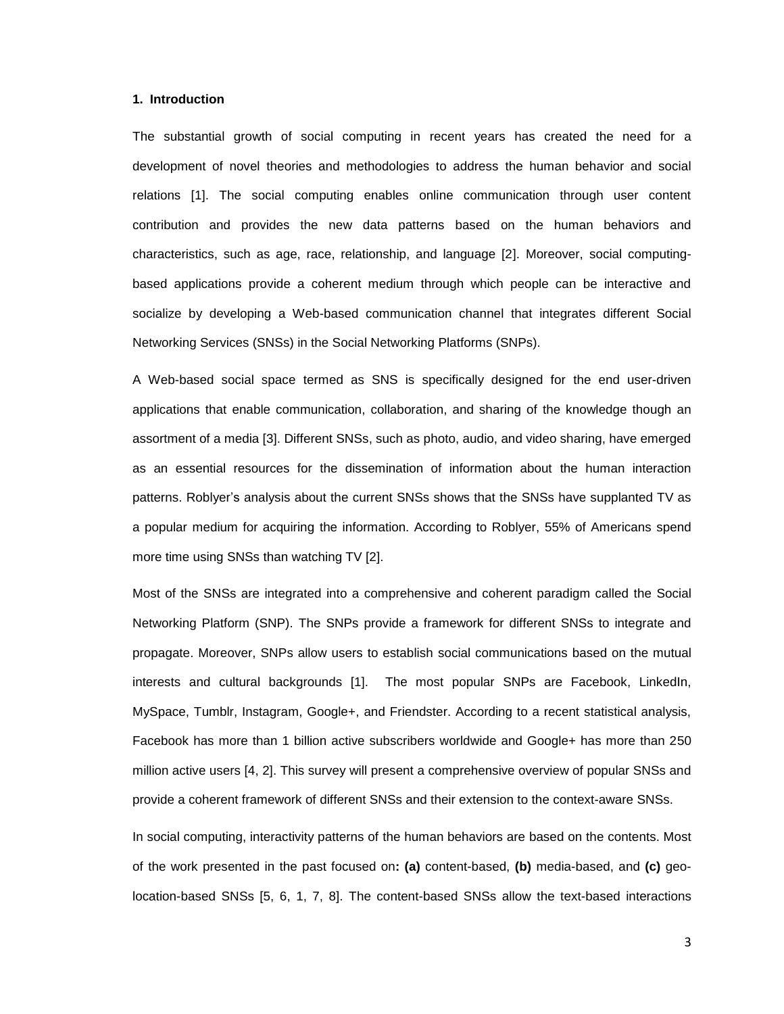# **1. Introduction**

The substantial growth of social computing in recent years has created the need for a development of novel theories and methodologies to address the human behavior and social relations [1]. The social computing enables online communication through user content contribution and provides the new data patterns based on the human behaviors and characteristics, such as age, race, relationship, and language [2]. Moreover, social computingbased applications provide a coherent medium through which people can be interactive and socialize by developing a Web-based communication channel that integrates different Social Networking Services (SNSs) in the Social Networking Platforms (SNPs).

A Web-based social space termed as SNS is specifically designed for the end user-driven applications that enable communication, collaboration, and sharing of the knowledge though an assortment of a media [3]. Different SNSs, such as photo, audio, and video sharing, have emerged as an essential resources for the dissemination of information about the human interaction patterns. Roblyer"s analysis about the current SNSs shows that the SNSs have supplanted TV as a popular medium for acquiring the information. According to Roblyer, 55% of Americans spend more time using SNSs than watching TV [2].

Most of the SNSs are integrated into a comprehensive and coherent paradigm called the Social Networking Platform (SNP). The SNPs provide a framework for different SNSs to integrate and propagate. Moreover, SNPs allow users to establish social communications based on the mutual interests and cultural backgrounds [1]. The most popular SNPs are Facebook, LinkedIn, MySpace, Tumblr, Instagram, Google+, and Friendster. According to a recent statistical analysis, Facebook has more than 1 billion active subscribers worldwide and Google+ has more than 250 million active users [4, 2]. This survey will present a comprehensive overview of popular SNSs and provide a coherent framework of different SNSs and their extension to the context-aware SNSs.

In social computing, interactivity patterns of the human behaviors are based on the contents. Most of the work presented in the past focused on**: (a)** content-based, **(b)** media-based, and **(c)** geolocation-based SNSs [5, 6, 1, 7, 8]. The content-based SNSs allow the text-based interactions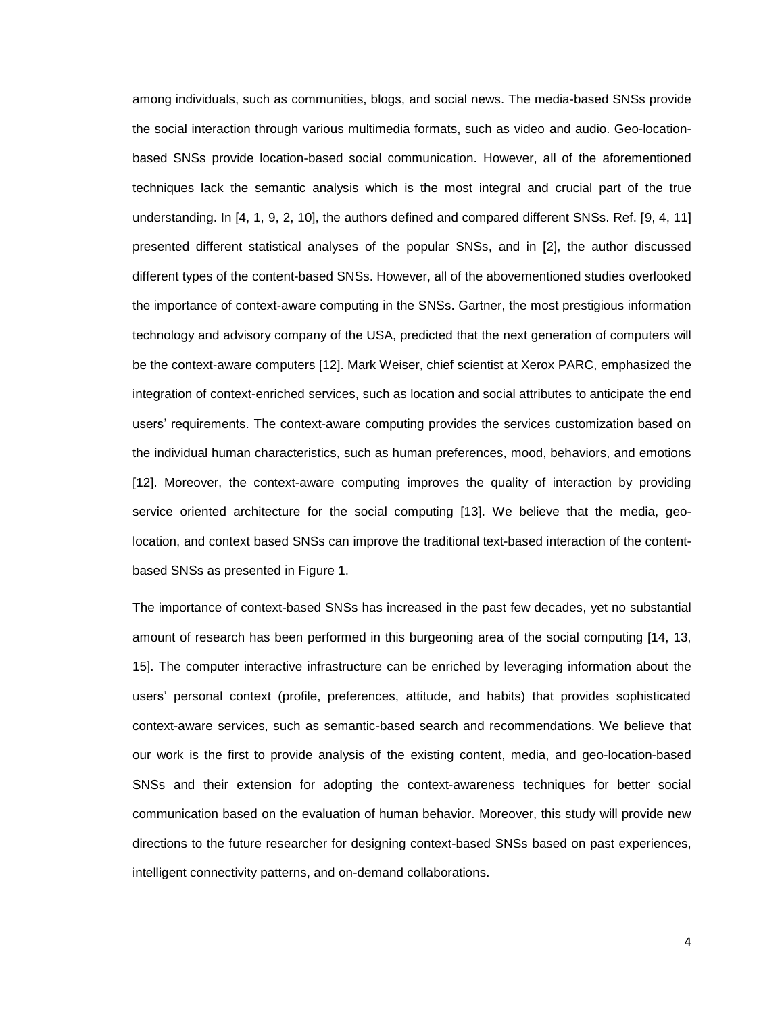among individuals, such as communities, blogs, and social news. The media-based SNSs provide the social interaction through various multimedia formats, such as video and audio. Geo-locationbased SNSs provide location-based social communication. However, all of the aforementioned techniques lack the semantic analysis which is the most integral and crucial part of the true understanding. In [4, 1, 9, 2, 10], the authors defined and compared different SNSs. Ref. [9, 4, 11] presented different statistical analyses of the popular SNSs, and in [2], the author discussed different types of the content-based SNSs. However, all of the abovementioned studies overlooked the importance of context-aware computing in the SNSs. Gartner, the most prestigious information technology and advisory company of the USA, predicted that the next generation of computers will be the context-aware computers [12]. Mark Weiser, chief scientist at Xerox PARC, emphasized the integration of context-enriched services, such as location and social attributes to anticipate the end users" requirements. The context-aware computing provides the services customization based on the individual human characteristics, such as human preferences, mood, behaviors, and emotions [12]. Moreover, the context-aware computing improves the quality of interaction by providing service oriented architecture for the social computing [13]. We believe that the media, geolocation, and context based SNSs can improve the traditional text-based interaction of the contentbased SNSs as presented in Figure 1.

The importance of context-based SNSs has increased in the past few decades, yet no substantial amount of research has been performed in this burgeoning area of the social computing [14, 13, 15]. The computer interactive infrastructure can be enriched by leveraging information about the users" personal context (profile, preferences, attitude, and habits) that provides sophisticated context-aware services, such as semantic-based search and recommendations. We believe that our work is the first to provide analysis of the existing content, media, and geo-location-based SNSs and their extension for adopting the context-awareness techniques for better social communication based on the evaluation of human behavior. Moreover, this study will provide new directions to the future researcher for designing context-based SNSs based on past experiences, intelligent connectivity patterns, and on-demand collaborations.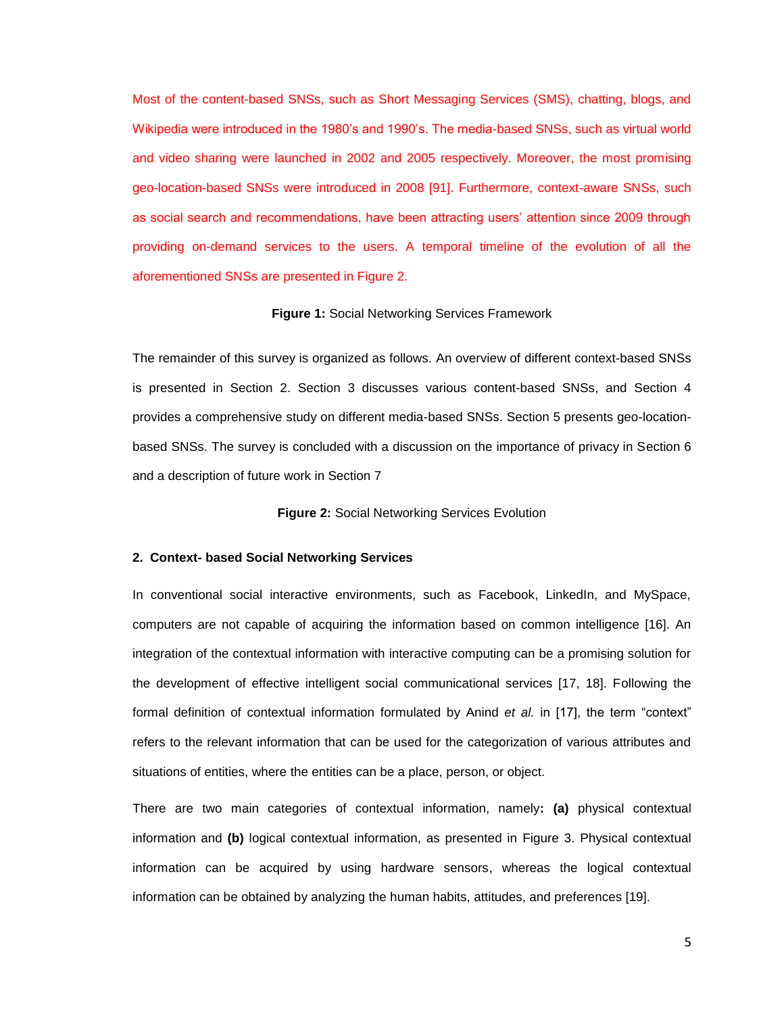Most of the content-based SNSs, such as Short Messaging Services (SMS), chatting, blogs, and Wikipedia were introduced in the 1980"s and 1990"s. The media-based SNSs, such as virtual world and video sharing were launched in 2002 and 2005 respectively. Moreover, the most promising geo-location-based SNSs were introduced in 2008 [91]. Furthermore, context-aware SNSs, such as social search and recommendations, have been attracting users' attention since 2009 through providing on-demand services to the users. A temporal timeline of the evolution of all the aforementioned SNSs are presented in Figure 2.

#### **Figure 1:** Social Networking Services Framework

The remainder of this survey is organized as follows. An overview of different context-based SNSs is presented in Section 2. Section 3 discusses various content-based SNSs, and Section 4 provides a comprehensive study on different media-based SNSs. Section 5 presents geo-locationbased SNSs. The survey is concluded with a discussion on the importance of privacy in Section 6 and a description of future work in Section 7

**Figure 2:** Social Networking Services Evolution

# **2. Context- based Social Networking Services**

In conventional social interactive environments, such as Facebook, LinkedIn, and MySpace, computers are not capable of acquiring the information based on common intelligence [16]. An integration of the contextual information with interactive computing can be a promising solution for the development of effective intelligent social communicational services [17, 18]. Following the formal definition of contextual information formulated by Anind *et al.* in [17], the term "context" refers to the relevant information that can be used for the categorization of various attributes and situations of entities, where the entities can be a place, person, or object.

There are two main categories of contextual information, namely**: (a)** physical contextual information and **(b)** logical contextual information, as presented in Figure 3. Physical contextual information can be acquired by using hardware sensors, whereas the logical contextual information can be obtained by analyzing the human habits, attitudes, and preferences [19].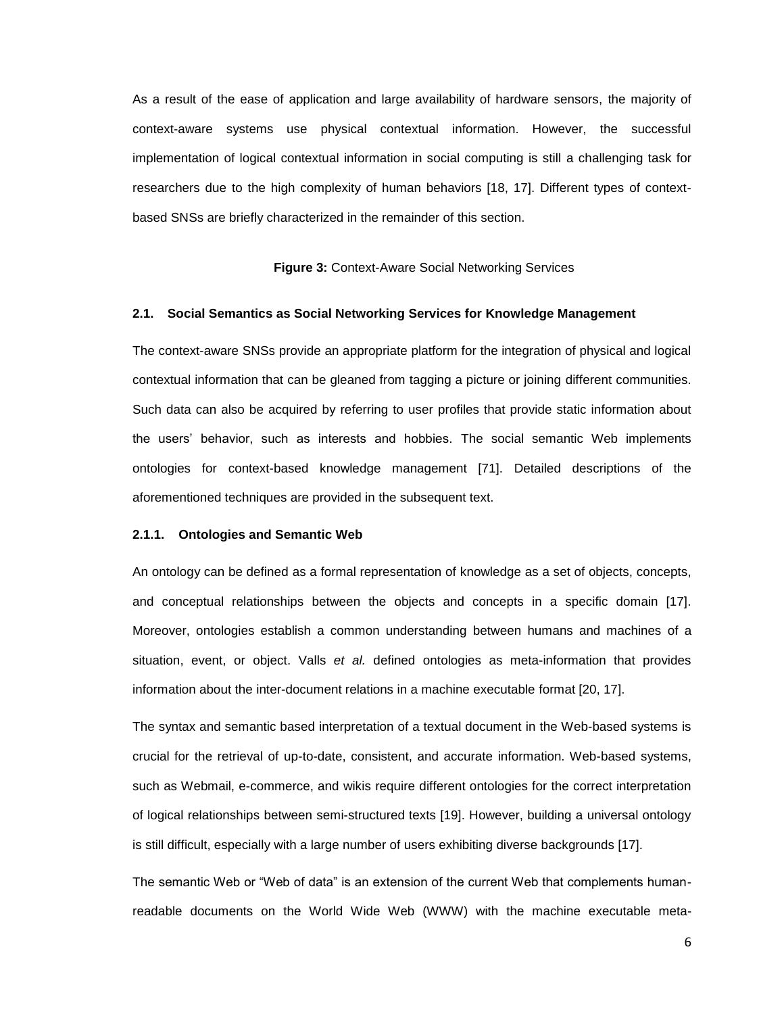As a result of the ease of application and large availability of hardware sensors, the majority of context-aware systems use physical contextual information. However, the successful implementation of logical contextual information in social computing is still a challenging task for researchers due to the high complexity of human behaviors [18, 17]. Different types of contextbased SNSs are briefly characterized in the remainder of this section.

**Figure 3:** Context-Aware Social Networking Services

#### **2.1. Social Semantics as Social Networking Services for Knowledge Management**

The context-aware SNSs provide an appropriate platform for the integration of physical and logical contextual information that can be gleaned from tagging a picture or joining different communities. Such data can also be acquired by referring to user profiles that provide static information about the users" behavior, such as interests and hobbies. The social semantic Web implements ontologies for context-based knowledge management [71]. Detailed descriptions of the aforementioned techniques are provided in the subsequent text.

#### **2.1.1. Ontologies and Semantic Web**

An ontology can be defined as a formal representation of knowledge as a set of objects, concepts, and conceptual relationships between the objects and concepts in a specific domain [17]. Moreover, ontologies establish a common understanding between humans and machines of a situation, event, or object. Valls *et al.* defined ontologies as meta-information that provides information about the inter-document relations in a machine executable format [20, 17].

The syntax and semantic based interpretation of a textual document in the Web-based systems is crucial for the retrieval of up-to-date, consistent, and accurate information. Web-based systems, such as Webmail, e-commerce, and wikis require different ontologies for the correct interpretation of logical relationships between semi-structured texts [19]. However, building a universal ontology is still difficult, especially with a large number of users exhibiting diverse backgrounds [17].

The semantic Web or "Web of data" is an extension of the current Web that complements humanreadable documents on the World Wide Web (WWW) with the machine executable meta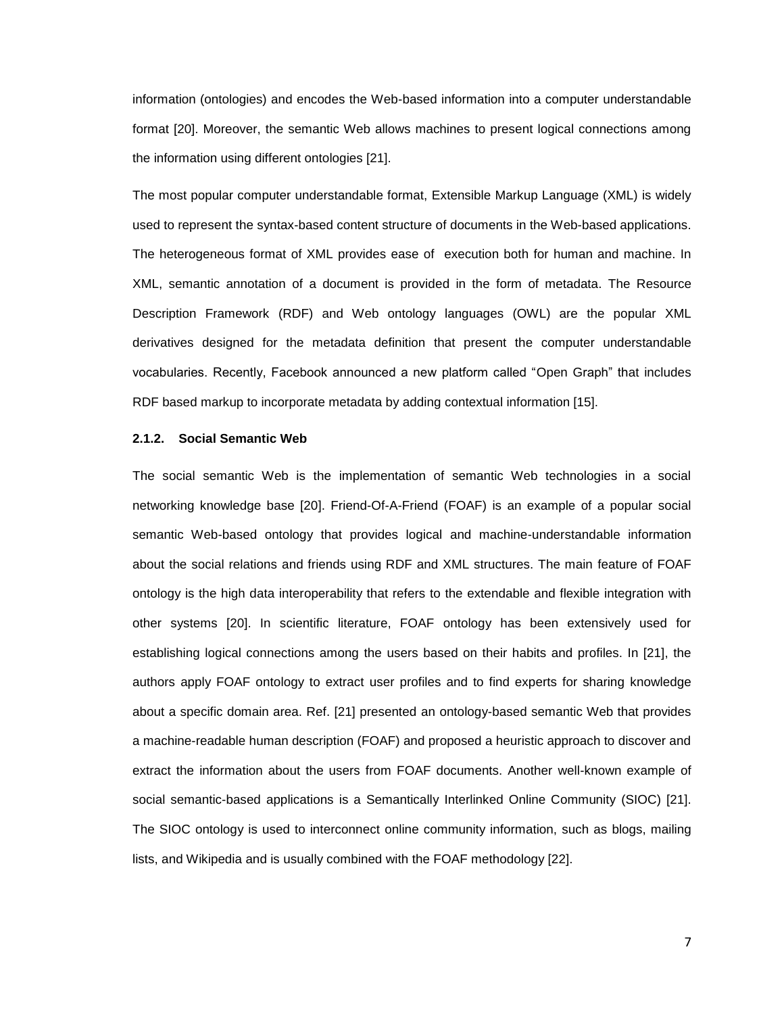information (ontologies) and encodes the Web-based information into a computer understandable format [20]. Moreover, the semantic Web allows machines to present logical connections among the information using different ontologies [21].

The most popular computer understandable format, Extensible Markup Language (XML) is widely used to represent the syntax-based content structure of documents in the Web-based applications. The heterogeneous format of XML provides ease of execution both for human and machine. In XML, semantic annotation of a document is provided in the form of metadata. The Resource Description Framework (RDF) and Web ontology languages (OWL) are the popular XML derivatives designed for the metadata definition that present the computer understandable vocabularies. Recently, Facebook announced a new platform called "Open Graph" that includes RDF based markup to incorporate metadata by adding contextual information [15].

## **2.1.2. Social Semantic Web**

The social semantic Web is the implementation of semantic Web technologies in a social networking knowledge base [20]. Friend-Of-A-Friend (FOAF) is an example of a popular social semantic Web-based ontology that provides logical and machine-understandable information about the social relations and friends using RDF and XML structures. The main feature of FOAF ontology is the high data interoperability that refers to the extendable and flexible integration with other systems [20]. In scientific literature, FOAF ontology has been extensively used for establishing logical connections among the users based on their habits and profiles. In [21], the authors apply FOAF ontology to extract user profiles and to find experts for sharing knowledge about a specific domain area. Ref. [21] presented an ontology-based semantic Web that provides a machine-readable human description (FOAF) and proposed a heuristic approach to discover and extract the information about the users from FOAF documents. Another well-known example of social semantic-based applications is a Semantically Interlinked Online Community (SIOC) [21]. The SIOC ontology is used to interconnect online community information, such as blogs, mailing lists, and Wikipedia and is usually combined with the FOAF methodology [22].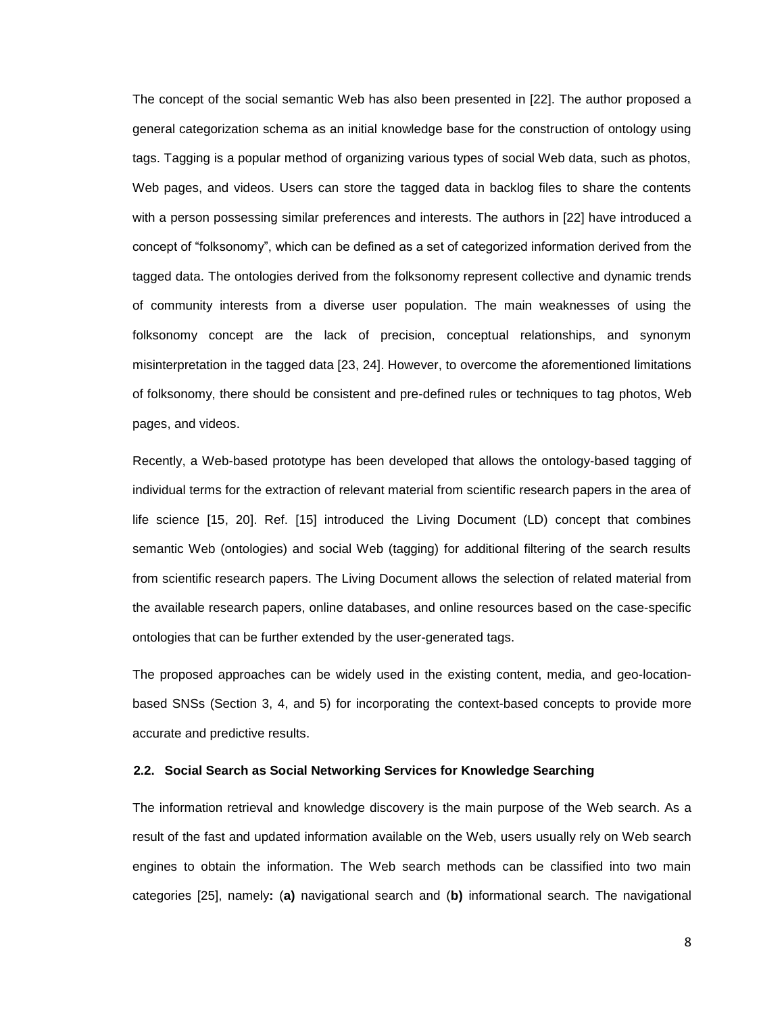The concept of the social semantic Web has also been presented in [22]. The author proposed a general categorization schema as an initial knowledge base for the construction of ontology using tags. Tagging is a popular method of organizing various types of social Web data, such as photos, Web pages, and videos. Users can store the tagged data in backlog files to share the contents with a person possessing similar preferences and interests. The authors in [22] have introduced a concept of "folksonomy", which can be defined as a set of categorized information derived from the tagged data. The ontologies derived from the folksonomy represent collective and dynamic trends of community interests from a diverse user population. The main weaknesses of using the folksonomy concept are the lack of precision, conceptual relationships, and synonym misinterpretation in the tagged data [23, 24]. However, to overcome the aforementioned limitations of folksonomy, there should be consistent and pre-defined rules or techniques to tag photos, Web pages, and videos.

Recently, a Web-based prototype has been developed that allows the ontology-based tagging of individual terms for the extraction of relevant material from scientific research papers in the area of life science [15, 20]. Ref. [15] introduced the Living Document (LD) concept that combines semantic Web (ontologies) and social Web (tagging) for additional filtering of the search results from scientific research papers. The Living Document allows the selection of related material from the available research papers, online databases, and online resources based on the case-specific ontologies that can be further extended by the user-generated tags.

The proposed approaches can be widely used in the existing content, media, and geo-locationbased SNSs (Section 3, 4, and 5) for incorporating the context-based concepts to provide more accurate and predictive results.

# **2.2. Social Search as Social Networking Services for Knowledge Searching**

The information retrieval and knowledge discovery is the main purpose of the Web search. As a result of the fast and updated information available on the Web, users usually rely on Web search engines to obtain the information. The Web search methods can be classified into two main categories [25], namely**:** (**a)** navigational search and (**b)** informational search. The navigational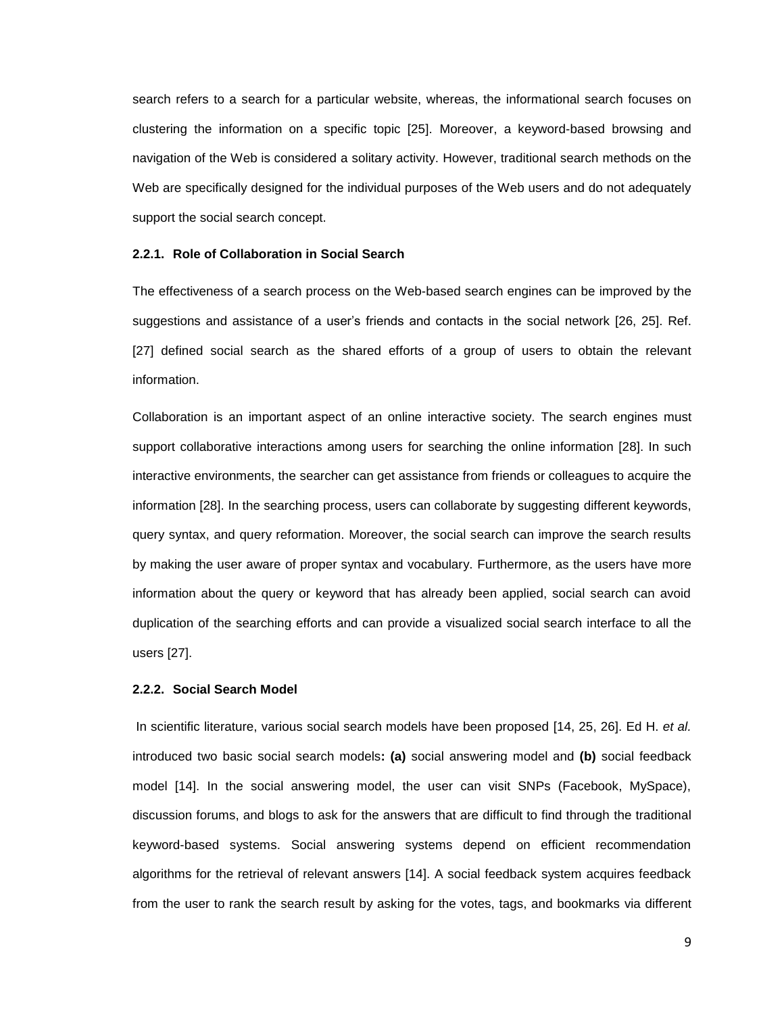search refers to a search for a particular website, whereas, the informational search focuses on clustering the information on a specific topic [25]. Moreover, a keyword-based browsing and navigation of the Web is considered a solitary activity. However, traditional search methods on the Web are specifically designed for the individual purposes of the Web users and do not adequately support the social search concept.

# **2.2.1. Role of Collaboration in Social Search**

The effectiveness of a search process on the Web-based search engines can be improved by the suggestions and assistance of a user"s friends and contacts in the social network [26, 25]. Ref. [27] defined social search as the shared efforts of a group of users to obtain the relevant information.

Collaboration is an important aspect of an online interactive society. The search engines must support collaborative interactions among users for searching the online information [28]. In such interactive environments, the searcher can get assistance from friends or colleagues to acquire the information [28]. In the searching process, users can collaborate by suggesting different keywords, query syntax, and query reformation. Moreover, the social search can improve the search results by making the user aware of proper syntax and vocabulary. Furthermore, as the users have more information about the query or keyword that has already been applied, social search can avoid duplication of the searching efforts and can provide a visualized social search interface to all the users [27].

# **2.2.2. Social Search Model**

In scientific literature, various social search models have been proposed [14, 25, 26]. Ed H. *et al.* introduced two basic social search models**: (a)** social answering model and **(b)** social feedback model [14]. In the social answering model, the user can visit SNPs (Facebook, MySpace), discussion forums, and blogs to ask for the answers that are difficult to find through the traditional keyword-based systems. Social answering systems depend on efficient recommendation algorithms for the retrieval of relevant answers [14]. A social feedback system acquires feedback from the user to rank the search result by asking for the votes, tags, and bookmarks via different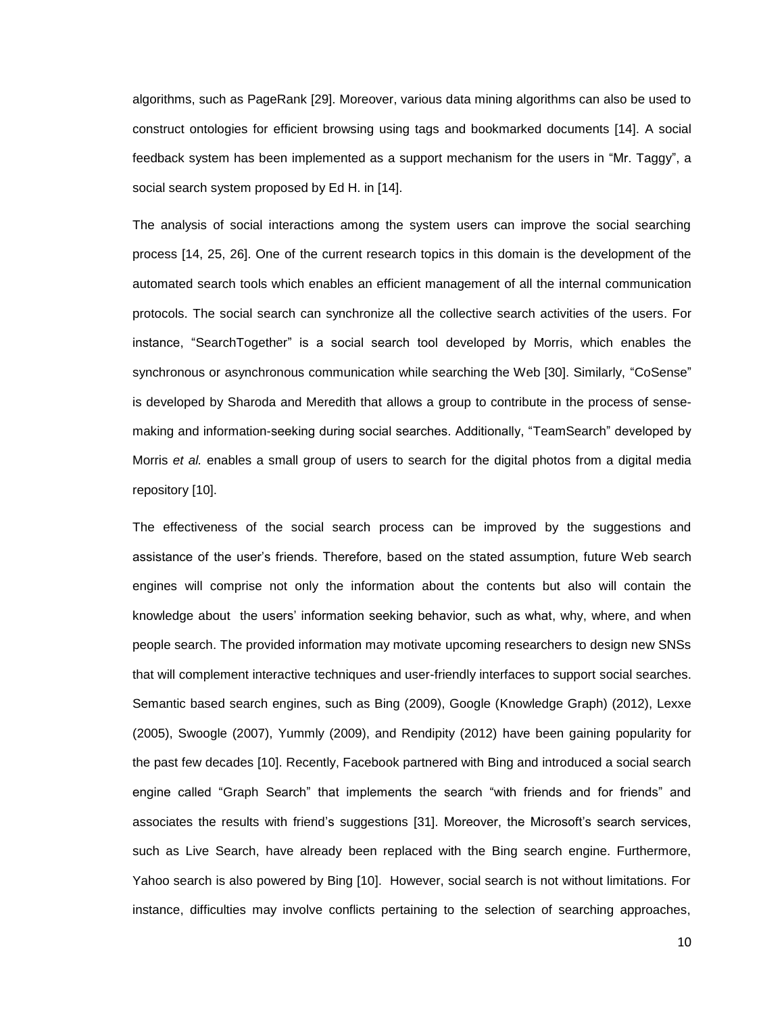algorithms, such as PageRank [29]. Moreover, various data mining algorithms can also be used to construct ontologies for efficient browsing using tags and bookmarked documents [14]. A social feedback system has been implemented as a support mechanism for the users in "Mr. Taggy", a social search system proposed by Ed H. in [14].

The analysis of social interactions among the system users can improve the social searching process [14, 25, 26]. One of the current research topics in this domain is the development of the automated search tools which enables an efficient management of all the internal communication protocols. The social search can synchronize all the collective search activities of the users. For instance, "SearchTogether" is a social search tool developed by Morris, which enables the synchronous or asynchronous communication while searching the Web [30]. Similarly, "CoSense" is developed by Sharoda and Meredith that allows a group to contribute in the process of sensemaking and information-seeking during social searches. Additionally, "TeamSearch" developed by Morris *et al.* enables a small group of users to search for the digital photos from a digital media repository [10].

The effectiveness of the social search process can be improved by the suggestions and assistance of the user"s friends. Therefore, based on the stated assumption, future Web search engines will comprise not only the information about the contents but also will contain the knowledge about the users" information seeking behavior, such as what, why, where, and when people search. The provided information may motivate upcoming researchers to design new SNSs that will complement interactive techniques and user-friendly interfaces to support social searches. Semantic based search engines, such as Bing (2009), Google (Knowledge Graph) (2012), Lexxe (2005), Swoogle (2007), Yummly (2009), and Rendipity (2012) have been gaining popularity for the past few decades [10]. Recently, Facebook partnered with Bing and introduced a social search engine called "Graph Search" that implements the search "with friends and for friends" and associates the results with friend's suggestions [31]. Moreover, the Microsoft's search services, such as Live Search, have already been replaced with the Bing search engine. Furthermore, Yahoo search is also powered by Bing [10]. However, social search is not without limitations. For instance, difficulties may involve conflicts pertaining to the selection of searching approaches,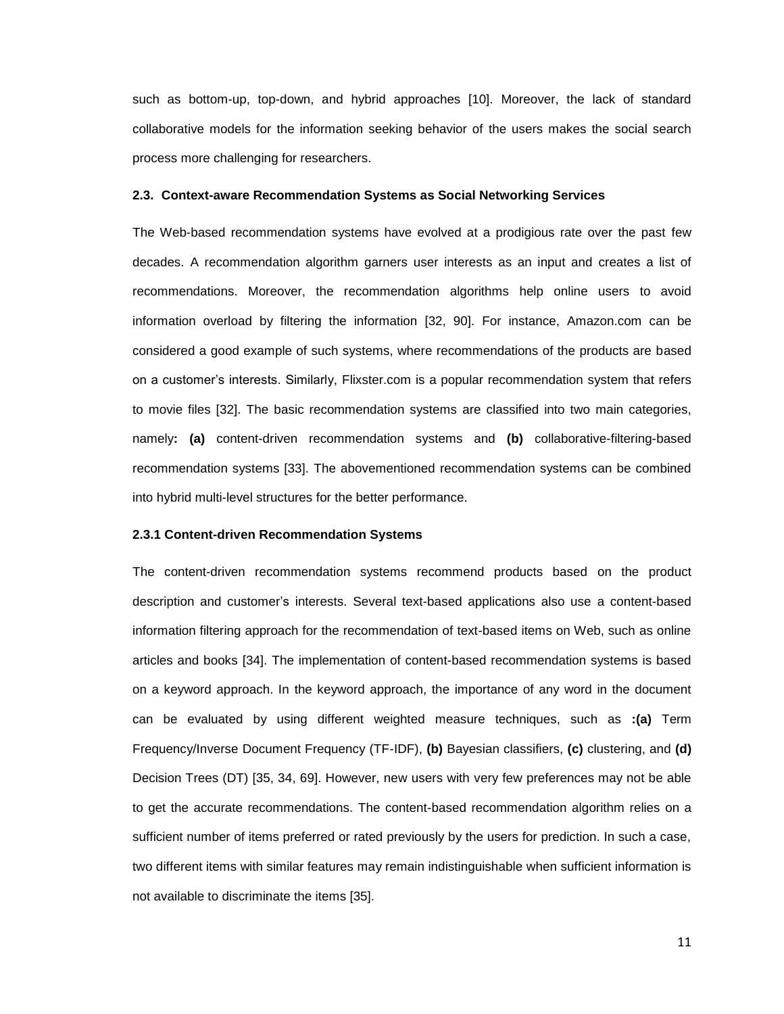such as bottom-up, top-down, and hybrid approaches [10]. Moreover, the lack of standard collaborative models for the information seeking behavior of the users makes the social search process more challenging for researchers.

#### **2.3. Context-aware Recommendation Systems as Social Networking Services**

The Web-based recommendation systems have evolved at a prodigious rate over the past few decades. A recommendation algorithm garners user interests as an input and creates a list of recommendations. Moreover, the recommendation algorithms help online users to avoid information overload by filtering the information [32, 90]. For instance, Amazon.com can be considered a good example of such systems, where recommendations of the products are based on a customer"s interests. Similarly, Flixster.com is a popular recommendation system that refers to movie files [32]. The basic recommendation systems are classified into two main categories, namely**: (a)** content-driven recommendation systems and **(b)** collaborative-filtering-based recommendation systems [33]. The abovementioned recommendation systems can be combined into hybrid multi-level structures for the better performance.

# **2.3.1 Content-driven Recommendation Systems**

The content-driven recommendation systems recommend products based on the product description and customer"s interests. Several text-based applications also use a content-based information filtering approach for the recommendation of text-based items on Web, such as online articles and books [34]. The implementation of content-based recommendation systems is based on a keyword approach. In the keyword approach, the importance of any word in the document can be evaluated by using different weighted measure techniques, such as **:(a)** Term Frequency/Inverse Document Frequency (TF-IDF), **(b)** Bayesian classifiers, **(c)** clustering, and **(d)** Decision Trees (DT) [35, 34, 69]. However, new users with very few preferences may not be able to get the accurate recommendations. The content-based recommendation algorithm relies on a sufficient number of items preferred or rated previously by the users for prediction. In such a case, two different items with similar features may remain indistinguishable when sufficient information is not available to discriminate the items [35].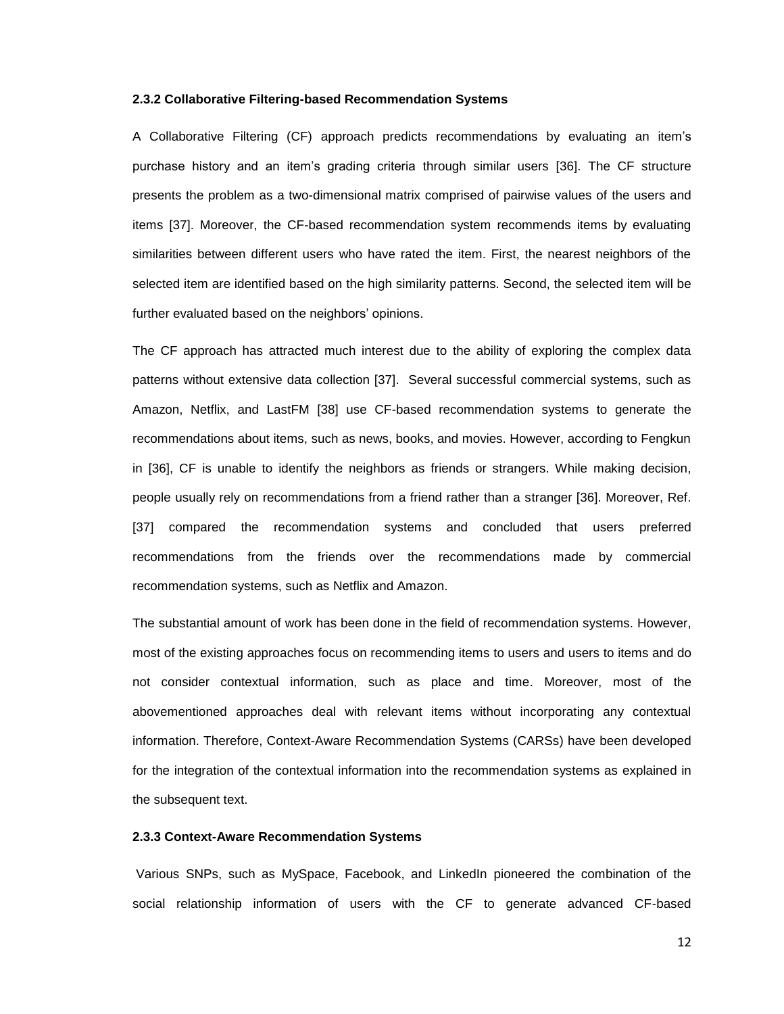# **2.3.2 Collaborative Filtering-based Recommendation Systems**

A Collaborative Filtering (CF) approach predicts recommendations by evaluating an item"s purchase history and an item"s grading criteria through similar users [36]. The CF structure presents the problem as a two-dimensional matrix comprised of pairwise values of the users and items [37]. Moreover, the CF-based recommendation system recommends items by evaluating similarities between different users who have rated the item. First, the nearest neighbors of the selected item are identified based on the high similarity patterns. Second, the selected item will be further evaluated based on the neighbors' opinions.

The CF approach has attracted much interest due to the ability of exploring the complex data patterns without extensive data collection [37]. Several successful commercial systems, such as Amazon, Netflix, and LastFM [38] use CF-based recommendation systems to generate the recommendations about items, such as news, books, and movies. However, according to Fengkun in [36], CF is unable to identify the neighbors as friends or strangers. While making decision, people usually rely on recommendations from a friend rather than a stranger [36]. Moreover, Ref. [37] compared the recommendation systems and concluded that users preferred recommendations from the friends over the recommendations made by commercial recommendation systems, such as Netflix and Amazon.

The substantial amount of work has been done in the field of recommendation systems. However, most of the existing approaches focus on recommending items to users and users to items and do not consider contextual information, such as place and time. Moreover, most of the abovementioned approaches deal with relevant items without incorporating any contextual information. Therefore, Context-Aware Recommendation Systems (CARSs) have been developed for the integration of the contextual information into the recommendation systems as explained in the subsequent text.

# **2.3.3 Context-Aware Recommendation Systems**

Various SNPs, such as MySpace, Facebook, and LinkedIn pioneered the combination of the social relationship information of users with the CF to generate advanced CF-based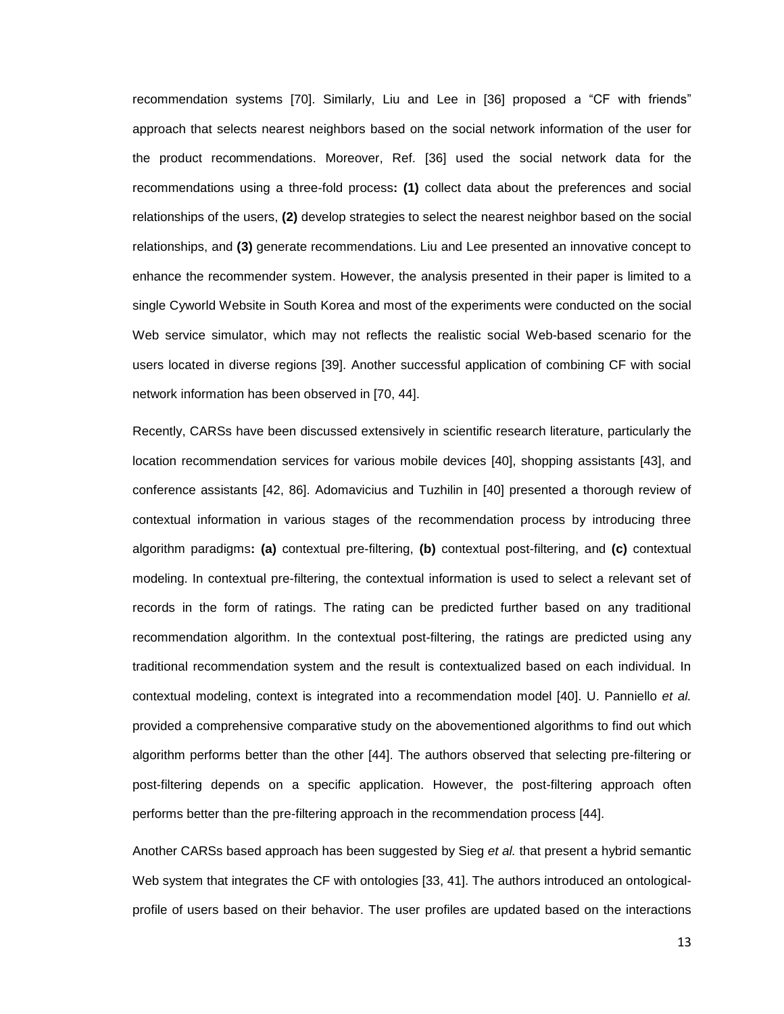recommendation systems [70]. Similarly, Liu and Lee in [36] proposed a "CF with friends" approach that selects nearest neighbors based on the social network information of the user for the product recommendations. Moreover, Ref. [36] used the social network data for the recommendations using a three-fold process**: (1)** collect data about the preferences and social relationships of the users, **(2)** develop strategies to select the nearest neighbor based on the social relationships, and **(3)** generate recommendations. Liu and Lee presented an innovative concept to enhance the recommender system. However, the analysis presented in their paper is limited to a single Cyworld Website in South Korea and most of the experiments were conducted on the social Web service simulator, which may not reflects the realistic social Web-based scenario for the users located in diverse regions [39]. Another successful application of combining CF with social network information has been observed in [70, 44].

Recently, CARSs have been discussed extensively in scientific research literature, particularly the location recommendation services for various mobile devices [40], shopping assistants [43], and conference assistants [42, 86]. Adomavicius and Tuzhilin in [40] presented a thorough review of contextual information in various stages of the recommendation process by introducing three algorithm paradigms**: (a)** contextual pre-filtering, **(b)** contextual post-filtering, and **(c)** contextual modeling. In contextual pre-filtering, the contextual information is used to select a relevant set of records in the form of ratings. The rating can be predicted further based on any traditional recommendation algorithm. In the contextual post-filtering, the ratings are predicted using any traditional recommendation system and the result is contextualized based on each individual. In contextual modeling, context is integrated into a recommendation model [40]. U. Panniello *et al.* provided a comprehensive comparative study on the abovementioned algorithms to find out which algorithm performs better than the other [44]. The authors observed that selecting pre-filtering or post-filtering depends on a specific application. However, the post-filtering approach often performs better than the pre-filtering approach in the recommendation process [44].

Another CARSs based approach has been suggested by Sieg *et al.* that present a hybrid semantic Web system that integrates the CF with ontologies [33, 41]. The authors introduced an ontologicalprofile of users based on their behavior. The user profiles are updated based on the interactions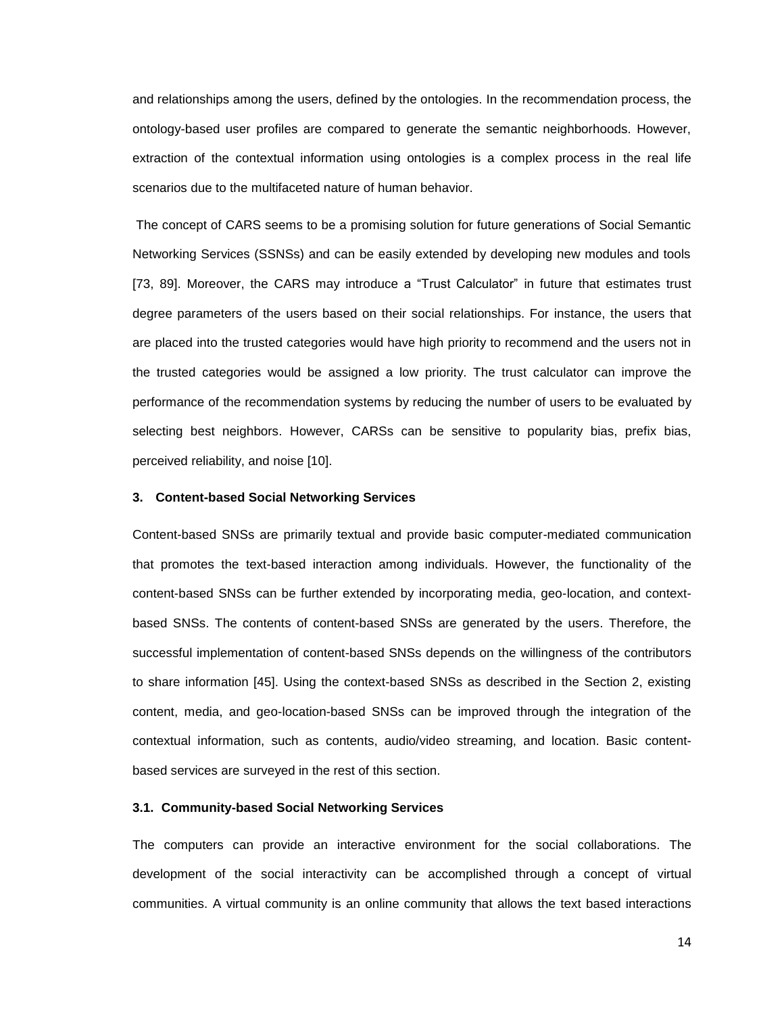and relationships among the users, defined by the ontologies. In the recommendation process, the ontology-based user profiles are compared to generate the semantic neighborhoods. However, extraction of the contextual information using ontologies is a complex process in the real life scenarios due to the multifaceted nature of human behavior.

The concept of CARS seems to be a promising solution for future generations of Social Semantic Networking Services (SSNSs) and can be easily extended by developing new modules and tools [73, 89]. Moreover, the CARS may introduce a "Trust Calculator" in future that estimates trust degree parameters of the users based on their social relationships. For instance, the users that are placed into the trusted categories would have high priority to recommend and the users not in the trusted categories would be assigned a low priority. The trust calculator can improve the performance of the recommendation systems by reducing the number of users to be evaluated by selecting best neighbors. However, CARSs can be sensitive to popularity bias, prefix bias, perceived reliability, and noise [10].

### **3. Content-based Social Networking Services**

Content-based SNSs are primarily textual and provide basic computer-mediated communication that promotes the text-based interaction among individuals. However, the functionality of the content-based SNSs can be further extended by incorporating media, geo-location, and contextbased SNSs. The contents of content-based SNSs are generated by the users. Therefore, the successful implementation of content-based SNSs depends on the willingness of the contributors to share information [45]. Using the context-based SNSs as described in the Section 2, existing content, media, and geo-location-based SNSs can be improved through the integration of the contextual information, such as contents, audio/video streaming, and location. Basic contentbased services are surveyed in the rest of this section.

#### **3.1. Community-based Social Networking Services**

The computers can provide an interactive environment for the social collaborations. The development of the social interactivity can be accomplished through a concept of virtual communities. A virtual community is an online community that allows the text based interactions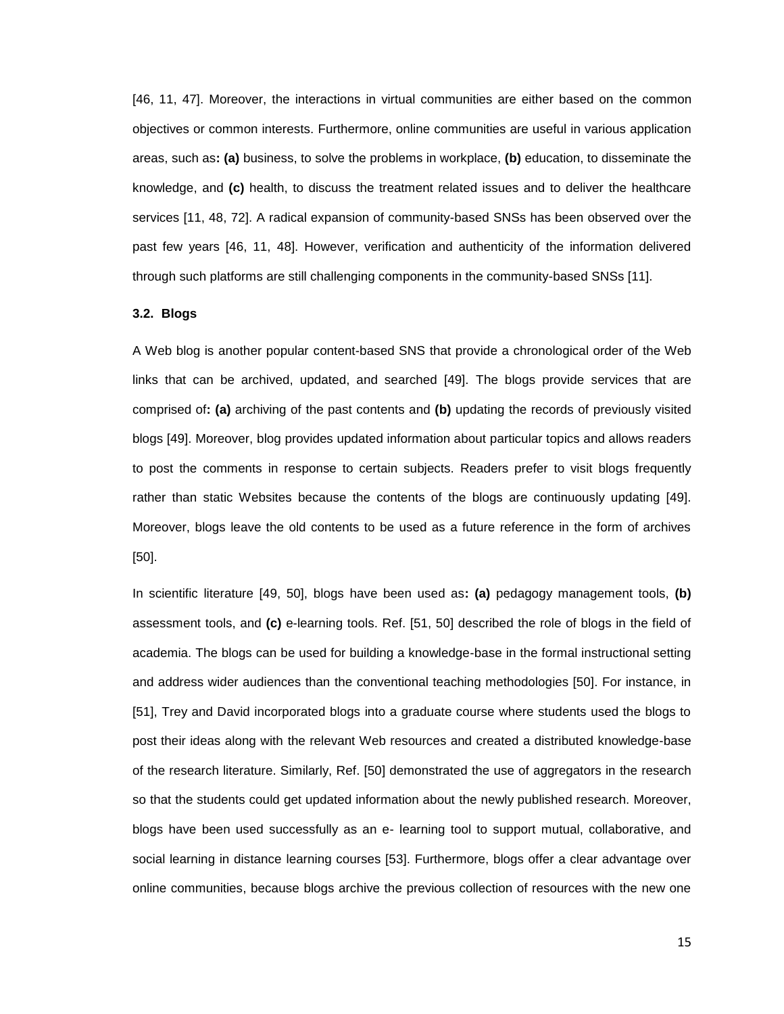[46, 11, 47]. Moreover, the interactions in virtual communities are either based on the common objectives or common interests. Furthermore, online communities are useful in various application areas, such as**: (a)** business, to solve the problems in workplace, **(b)** education, to disseminate the knowledge, and **(c)** health, to discuss the treatment related issues and to deliver the healthcare services [11, 48, 72]. A radical expansion of community-based SNSs has been observed over the past few years [46, 11, 48]. However, verification and authenticity of the information delivered through such platforms are still challenging components in the community-based SNSs [11].

#### **3.2. Blogs**

A Web blog is another popular content-based SNS that provide a chronological order of the Web links that can be archived, updated, and searched [49]. The blogs provide services that are comprised of**: (a)** archiving of the past contents and **(b)** updating the records of previously visited blogs [49]. Moreover, blog provides updated information about particular topics and allows readers to post the comments in response to certain subjects. Readers prefer to visit blogs frequently rather than static Websites because the contents of the blogs are continuously updating [49]. Moreover, blogs leave the old contents to be used as a future reference in the form of archives [50].

In scientific literature [49, 50], blogs have been used as**: (a)** pedagogy management tools, **(b)** assessment tools, and **(c)** e-learning tools. Ref. [51, 50] described the role of blogs in the field of academia. The blogs can be used for building a knowledge-base in the formal instructional setting and address wider audiences than the conventional teaching methodologies [50]. For instance, in [51], Trey and David incorporated blogs into a graduate course where students used the blogs to post their ideas along with the relevant Web resources and created a distributed knowledge-base of the research literature. Similarly, Ref. [50] demonstrated the use of aggregators in the research so that the students could get updated information about the newly published research. Moreover, blogs have been used successfully as an e- learning tool to support mutual, collaborative, and social learning in distance learning courses [53]. Furthermore, blogs offer a clear advantage over online communities, because blogs archive the previous collection of resources with the new one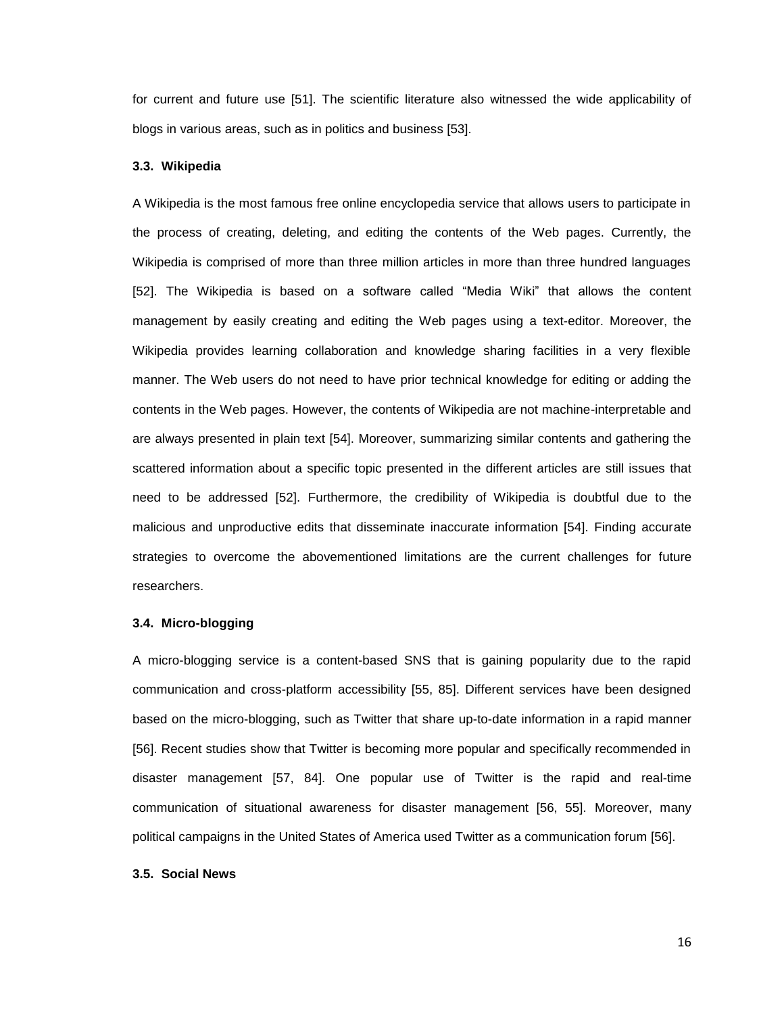for current and future use [51]. The scientific literature also witnessed the wide applicability of blogs in various areas, such as in politics and business [53].

#### **3.3. Wikipedia**

A Wikipedia is the most famous free online encyclopedia service that allows users to participate in the process of creating, deleting, and editing the contents of the Web pages. Currently, the Wikipedia is comprised of more than three million articles in more than three hundred languages [52]. The Wikipedia is based on a software called "Media Wiki" that allows the content management by easily creating and editing the Web pages using a text-editor. Moreover, the Wikipedia provides learning collaboration and knowledge sharing facilities in a very flexible manner. The Web users do not need to have prior technical knowledge for editing or adding the contents in the Web pages. However, the contents of Wikipedia are not machine-interpretable and are always presented in plain text [54]. Moreover, summarizing similar contents and gathering the scattered information about a specific topic presented in the different articles are still issues that need to be addressed [52]. Furthermore, the credibility of Wikipedia is doubtful due to the malicious and unproductive edits that disseminate inaccurate information [54]. Finding accurate strategies to overcome the abovementioned limitations are the current challenges for future researchers.

#### **3.4. Micro-blogging**

A micro-blogging service is a content-based SNS that is gaining popularity due to the rapid communication and cross-platform accessibility [55, 85]. Different services have been designed based on the micro-blogging, such as Twitter that share up-to-date information in a rapid manner [56]. Recent studies show that Twitter is becoming more popular and specifically recommended in disaster management [57, 84]. One popular use of Twitter is the rapid and real-time communication of situational awareness for disaster management [56, 55]. Moreover, many political campaigns in the United States of America used Twitter as a communication forum [56].

# **3.5. Social News**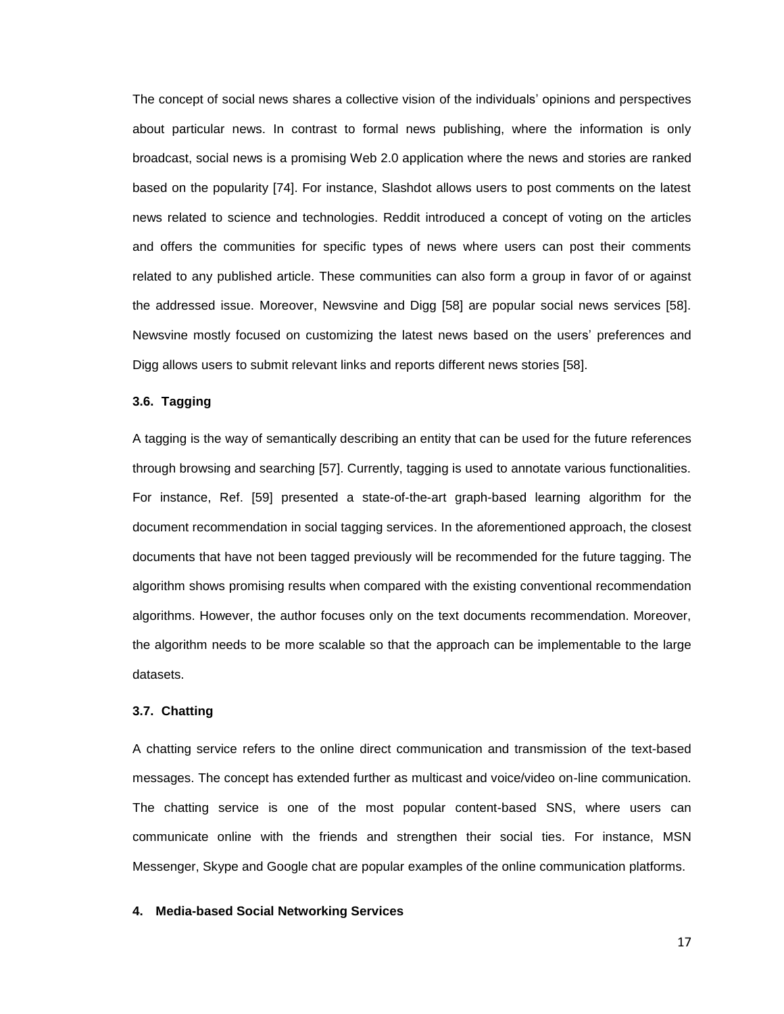The concept of social news shares a collective vision of the individuals" opinions and perspectives about particular news. In contrast to formal news publishing, where the information is only broadcast, social news is a promising Web 2.0 application where the news and stories are ranked based on the popularity [74]. For instance, Slashdot allows users to post comments on the latest news related to science and technologies. Reddit introduced a concept of voting on the articles and offers the communities for specific types of news where users can post their comments related to any published article. These communities can also form a group in favor of or against the addressed issue. Moreover, Newsvine and Digg [58] are popular social news services [58]. Newsvine mostly focused on customizing the latest news based on the users" preferences and Digg allows users to submit relevant links and reports different news stories [58].

# **3.6. Tagging**

A tagging is the way of semantically describing an entity that can be used for the future references through browsing and searching [57]. Currently, tagging is used to annotate various functionalities. For instance, Ref. [59] presented a state-of-the-art graph-based learning algorithm for the document recommendation in social tagging services. In the aforementioned approach, the closest documents that have not been tagged previously will be recommended for the future tagging. The algorithm shows promising results when compared with the existing conventional recommendation algorithms. However, the author focuses only on the text documents recommendation. Moreover, the algorithm needs to be more scalable so that the approach can be implementable to the large datasets.

#### **3.7. Chatting**

A chatting service refers to the online direct communication and transmission of the text-based messages. The concept has extended further as multicast and voice/video on-line communication. The chatting service is one of the most popular content-based SNS, where users can communicate online with the friends and strengthen their social ties. For instance, MSN Messenger, Skype and Google chat are popular examples of the online communication platforms.

# **4. Media-based Social Networking Services**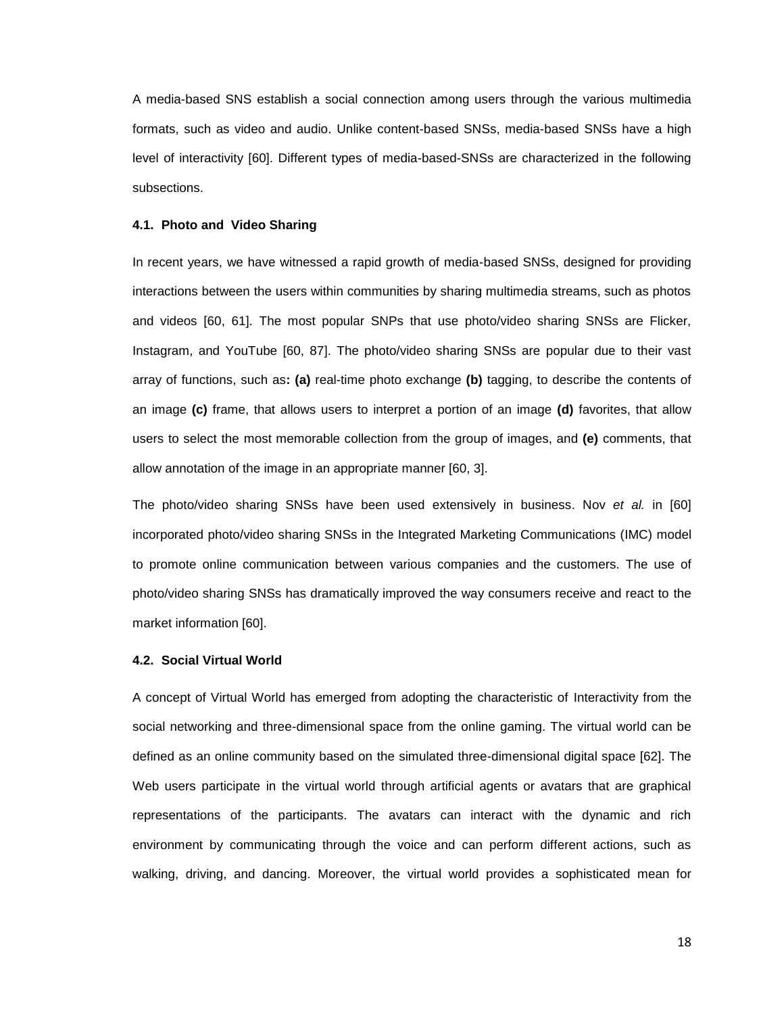A media-based SNS establish a social connection among users through the various multimedia formats, such as video and audio. Unlike content-based SNSs, media-based SNSs have a high level of interactivity [60]. Different types of media-based-SNSs are characterized in the following subsections.

# **4.1. Photo and Video Sharing**

In recent years, we have witnessed a rapid growth of media-based SNSs, designed for providing interactions between the users within communities by sharing multimedia streams, such as photos and videos [60, 61]. The most popular SNPs that use photo/video sharing SNSs are Flicker, Instagram, and YouTube [60, 87]. The photo/video sharing SNSs are popular due to their vast array of functions, such as**: (a)** real-time photo exchange **(b)** tagging, to describe the contents of an image **(c)** frame, that allows users to interpret a portion of an image **(d)** favorites, that allow users to select the most memorable collection from the group of images, and **(e)** comments, that allow annotation of the image in an appropriate manner [60, 3].

The photo/video sharing SNSs have been used extensively in business. Nov *et al.* in [60] incorporated photo/video sharing SNSs in the Integrated Marketing Communications (IMC) model to promote online communication between various companies and the customers. The use of photo/video sharing SNSs has dramatically improved the way consumers receive and react to the market information [60].

# **4.2. Social Virtual World**

A concept of Virtual World has emerged from adopting the characteristic of Interactivity from the social networking and three-dimensional space from the online gaming. The virtual world can be defined as an online community based on the simulated three-dimensional digital space [62]. The Web users participate in the virtual world through artificial agents or avatars that are graphical representations of the participants. The avatars can interact with the dynamic and rich environment by communicating through the voice and can perform different actions, such as walking, driving, and dancing. Moreover, the virtual world provides a sophisticated mean for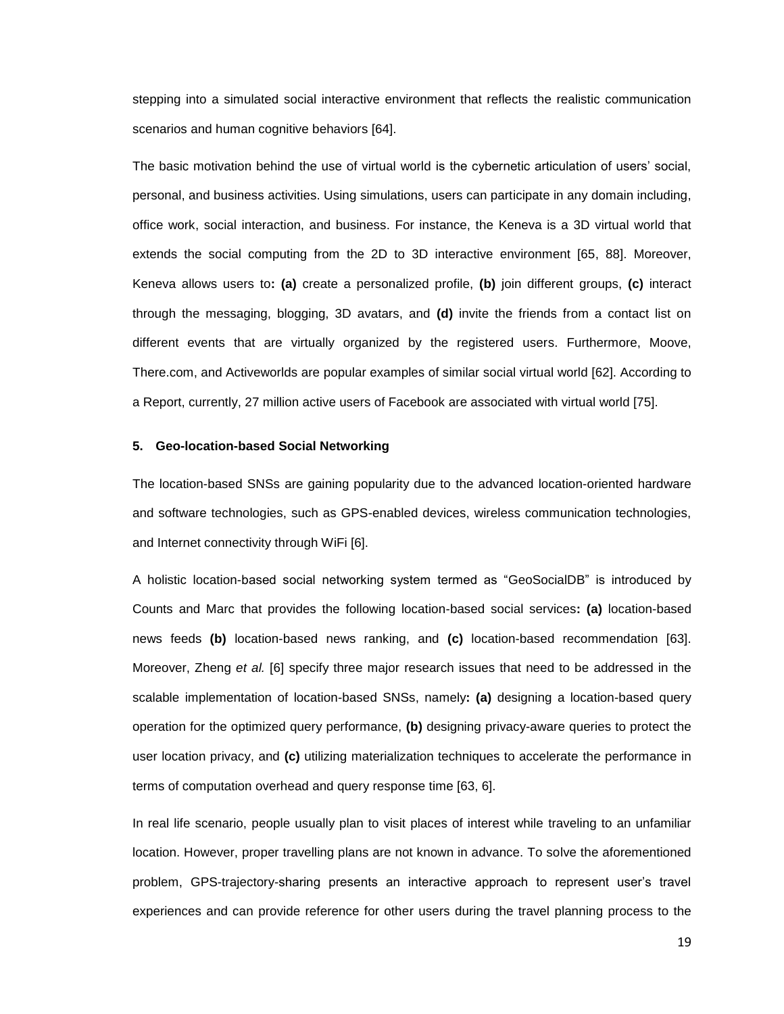stepping into a simulated social interactive environment that reflects the realistic communication scenarios and human cognitive behaviors [64].

The basic motivation behind the use of virtual world is the cybernetic articulation of users" social, personal, and business activities. Using simulations, users can participate in any domain including, office work, social interaction, and business. For instance, the Keneva is a 3D virtual world that extends the social computing from the 2D to 3D interactive environment [65, 88]. Moreover, Keneva allows users to**: (a)** create a personalized profile, **(b)** join different groups, **(c)** interact through the messaging, blogging, 3D avatars, and **(d)** invite the friends from a contact list on different events that are virtually organized by the registered users. Furthermore, Moove, There.com, and Activeworlds are popular examples of similar social virtual world [62]. According to a Report, currently, 27 million active users of Facebook are associated with virtual world [75].

# **5. Geo-location-based Social Networking**

The location-based SNSs are gaining popularity due to the advanced location-oriented hardware and software technologies, such as GPS-enabled devices, wireless communication technologies, and Internet connectivity through WiFi [6].

A holistic location-based social networking system termed as "GeoSocialDB" is introduced by Counts and Marc that provides the following location-based social services**: (a)** location-based news feeds **(b)** location-based news ranking, and **(c)** location-based recommendation [63]. Moreover, Zheng *et al.* [6] specify three major research issues that need to be addressed in the scalable implementation of location-based SNSs, namely**: (a)** designing a location-based query operation for the optimized query performance, **(b)** designing privacy-aware queries to protect the user location privacy, and **(c)** utilizing materialization techniques to accelerate the performance in terms of computation overhead and query response time [63, 6].

In real life scenario, people usually plan to visit places of interest while traveling to an unfamiliar location. However, proper travelling plans are not known in advance. To solve the aforementioned problem, GPS-trajectory-sharing presents an interactive approach to represent user"s travel experiences and can provide reference for other users during the travel planning process to the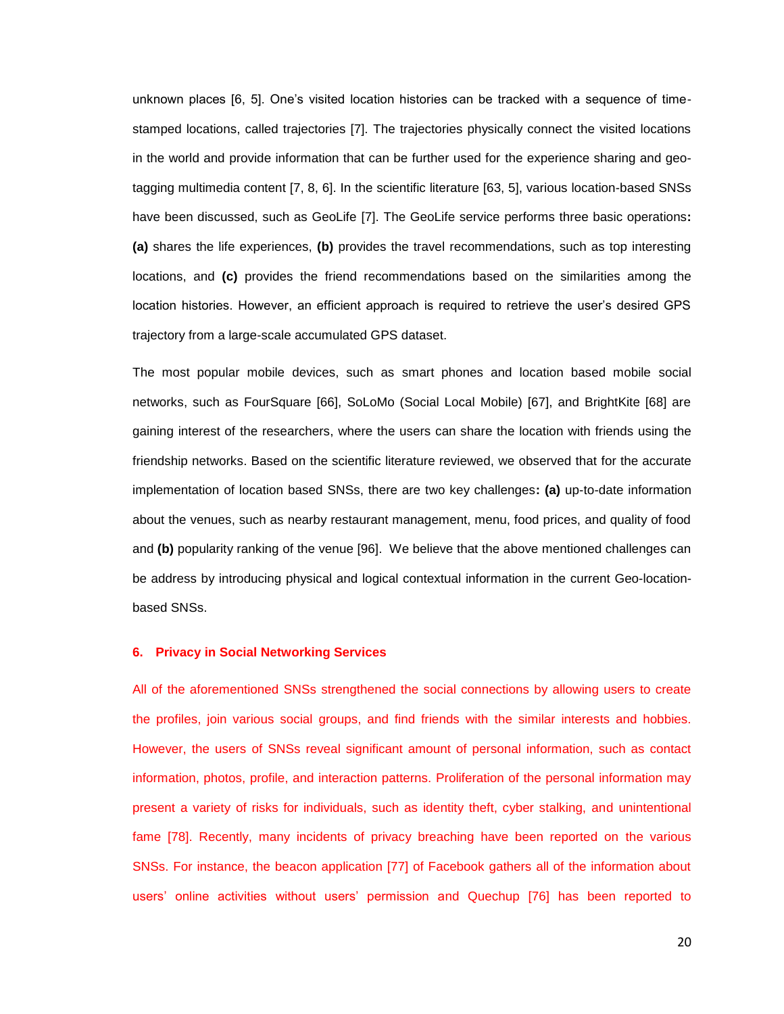unknown places [6, 5]. One"s visited location histories can be tracked with a sequence of timestamped locations, called trajectories [7]. The trajectories physically connect the visited locations in the world and provide information that can be further used for the experience sharing and geotagging multimedia content [7, 8, 6]. In the scientific literature [63, 5], various location-based SNSs have been discussed, such as GeoLife [7]. The GeoLife service performs three basic operations**: (a)** shares the life experiences, **(b)** provides the travel recommendations, such as top interesting locations, and **(c)** provides the friend recommendations based on the similarities among the location histories. However, an efficient approach is required to retrieve the user"s desired GPS trajectory from a large-scale accumulated GPS dataset.

The most popular mobile devices, such as smart phones and location based mobile social networks, such as FourSquare [66], SoLoMo (Social Local Mobile) [67], and BrightKite [68] are gaining interest of the researchers, where the users can share the location with friends using the friendship networks. Based on the scientific literature reviewed, we observed that for the accurate implementation of location based SNSs, there are two key challenges**: (a)** up-to-date information about the venues, such as nearby restaurant management, menu, food prices, and quality of food and **(b)** popularity ranking of the venue [96]. We believe that the above mentioned challenges can be address by introducing physical and logical contextual information in the current Geo-locationbased SNSs.

## **6. Privacy in Social Networking Services**

All of the aforementioned SNSs strengthened the social connections by allowing users to create the profiles, join various social groups, and find friends with the similar interests and hobbies. However, the users of SNSs reveal significant amount of personal information, such as contact information, photos, profile, and interaction patterns. Proliferation of the personal information may present a variety of risks for individuals, such as identity theft, cyber stalking, and unintentional fame [78]. Recently, many incidents of privacy breaching have been reported on the various SNSs. For instance, the beacon application [77] of Facebook gathers all of the information about users" online activities without users" permission and Quechup [76] has been reported to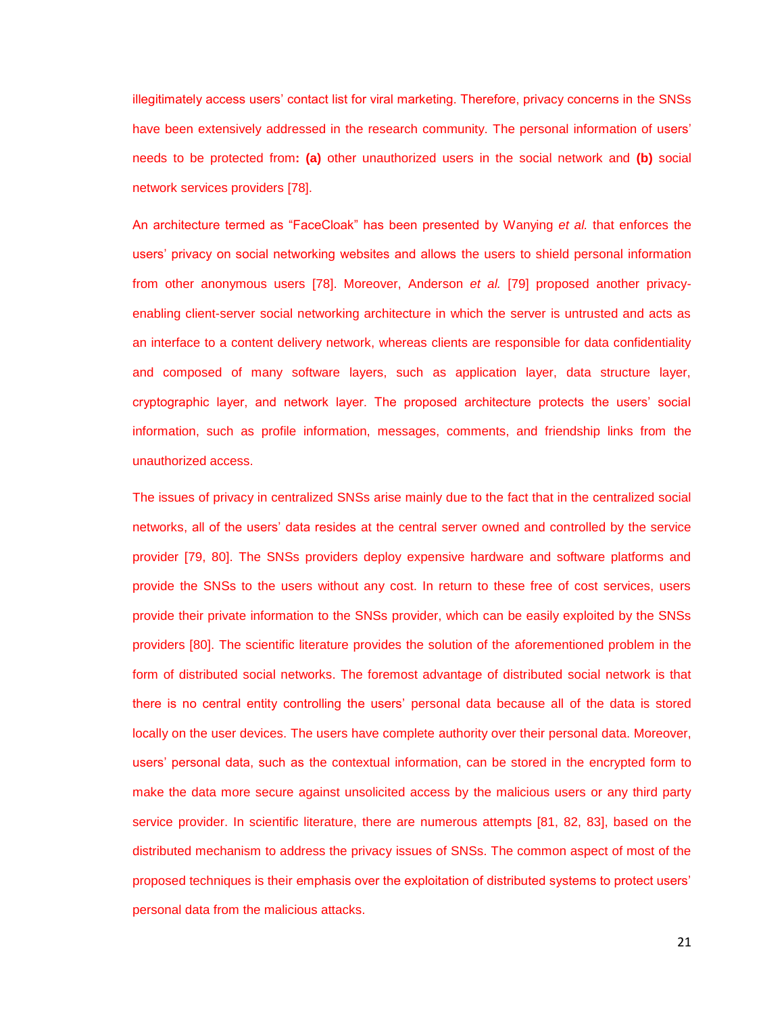illegitimately access users' contact list for viral marketing. Therefore, privacy concerns in the SNSs have been extensively addressed in the research community. The personal information of users' needs to be protected from**: (a)** other unauthorized users in the social network and **(b)** social network services providers [78].

An architecture termed as "FaceCloak" has been presented by Wanying *et al.* that enforces the users" privacy on social networking websites and allows the users to shield personal information from other anonymous users [78]. Moreover, Anderson *et al.* [79] proposed another privacyenabling client-server social networking architecture in which the server is untrusted and acts as an interface to a content delivery network, whereas clients are responsible for data confidentiality and composed of many software layers, such as application layer, data structure layer, cryptographic layer, and network layer. The proposed architecture protects the users" social information, such as profile information, messages, comments, and friendship links from the unauthorized access.

The issues of privacy in centralized SNSs arise mainly due to the fact that in the centralized social networks, all of the users" data resides at the central server owned and controlled by the service provider [79, 80]. The SNSs providers deploy expensive hardware and software platforms and provide the SNSs to the users without any cost. In return to these free of cost services, users provide their private information to the SNSs provider, which can be easily exploited by the SNSs providers [80]. The scientific literature provides the solution of the aforementioned problem in the form of distributed social networks. The foremost advantage of distributed social network is that there is no central entity controlling the users" personal data because all of the data is stored locally on the user devices. The users have complete authority over their personal data. Moreover, users" personal data, such as the contextual information, can be stored in the encrypted form to make the data more secure against unsolicited access by the malicious users or any third party service provider. In scientific literature, there are numerous attempts [81, 82, 83], based on the distributed mechanism to address the privacy issues of SNSs. The common aspect of most of the proposed techniques is their emphasis over the exploitation of distributed systems to protect users" personal data from the malicious attacks.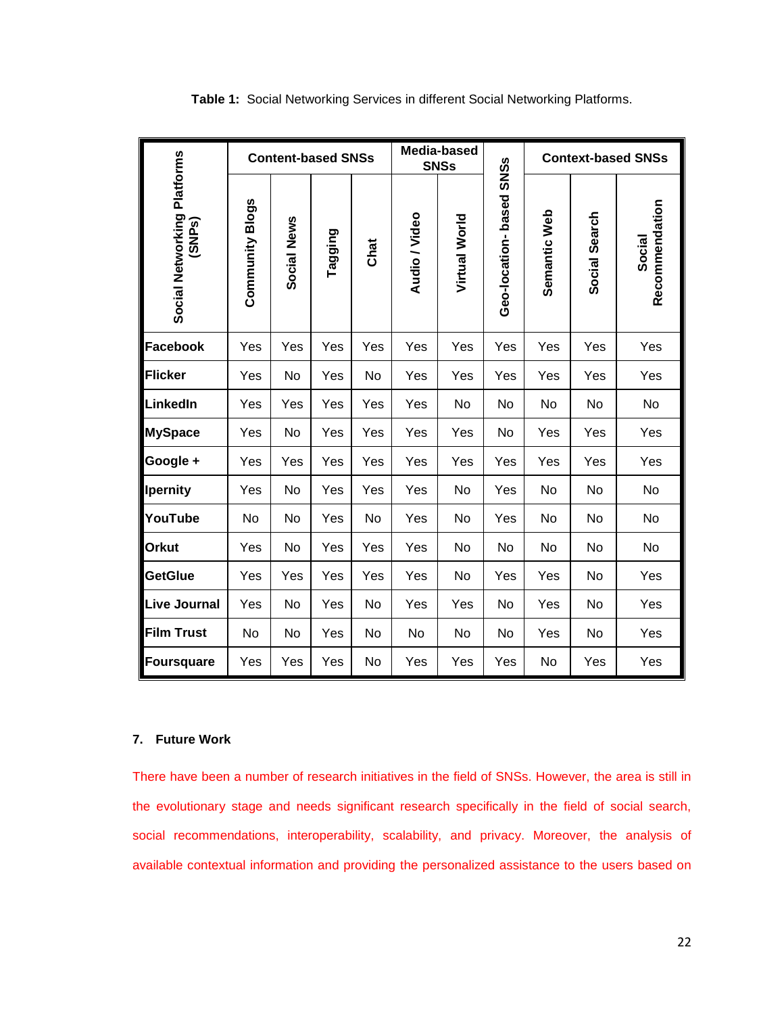| Social Networking Platforms<br>(SNP <sub>S</sub> ) | <b>Content-based SNSs</b> |             |         |      | Media-based<br><b>SNSs</b> |               |                         | <b>Context-based SNSs</b> |               |                          |
|----------------------------------------------------|---------------------------|-------------|---------|------|----------------------------|---------------|-------------------------|---------------------------|---------------|--------------------------|
|                                                    | <b>Community Blogs</b>    | Social News | Tagging | Chat | <b>Audio / Video</b>       | Virtual World | Geo-location-based SNSs | Semantic Web              | Social Search | Recommendation<br>Social |
| Facebook                                           | Yes                       | Yes         | Yes     | Yes  | Yes                        | Yes           | Yes                     | Yes                       | Yes           | Yes                      |
| Flicker                                            | Yes                       | No          | Yes     | No   | Yes                        | Yes           | Yes                     | Yes                       | Yes           | Yes                      |
| LinkedIn                                           | Yes                       | Yes         | Yes     | Yes  | Yes                        | No            | No                      | No                        | No            | No                       |
| <b>MySpace</b>                                     | Yes                       | No          | Yes     | Yes  | Yes                        | Yes           | No                      | Yes                       | Yes           | Yes                      |
| Google +                                           | Yes                       | Yes         | Yes     | Yes  | Yes                        | Yes           | Yes                     | Yes                       | Yes           | Yes                      |
| <b>Ipernity</b>                                    | Yes                       | No          | Yes     | Yes  | Yes                        | No            | Yes                     | No                        | No            | No                       |
| YouTube                                            | No                        | No          | Yes     | No   | Yes                        | No            | Yes                     | No                        | No            | No                       |
| <b>Orkut</b>                                       | Yes                       | No          | Yes     | Yes  | Yes                        | No            | No                      | No                        | No            | No                       |
| <b>GetGlue</b>                                     | Yes                       | Yes         | Yes     | Yes  | Yes                        | No            | Yes                     | Yes                       | No            | Yes                      |
| <b>Live Journal</b>                                | Yes                       | No          | Yes     | No   | Yes                        | Yes           | No                      | Yes                       | No            | Yes                      |
| <b>Film Trust</b>                                  | No                        | No          | Yes     | No   | No                         | No            | No                      | Yes                       | No            | Yes                      |
| Foursquare                                         | Yes                       | Yes         | Yes     | No   | Yes                        | Yes           | Yes                     | No                        | Yes           | Yes                      |

**Table 1:** Social Networking Services in different Social Networking Platforms.

# **7. Future Work**

There have been a number of research initiatives in the field of SNSs. However, the area is still in the evolutionary stage and needs significant research specifically in the field of social search, social recommendations, interoperability, scalability, and privacy. Moreover, the analysis of available contextual information and providing the personalized assistance to the users based on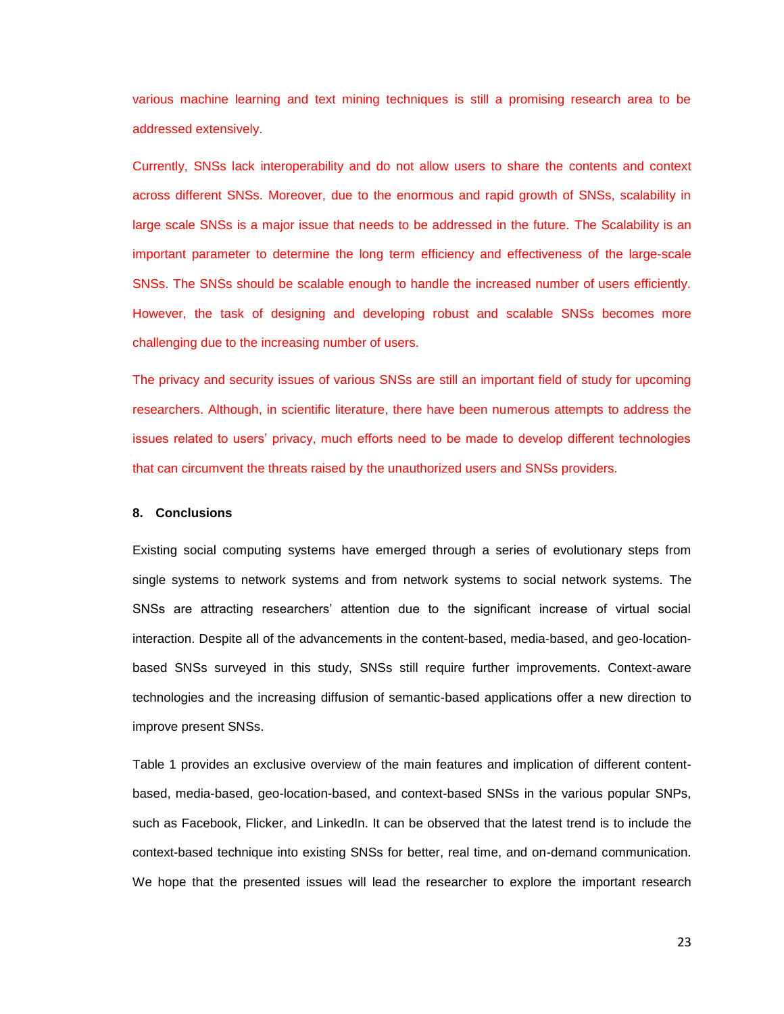various machine learning and text mining techniques is still a promising research area to be addressed extensively.

Currently, SNSs lack interoperability and do not allow users to share the contents and context across different SNSs. Moreover, due to the enormous and rapid growth of SNSs, scalability in large scale SNSs is a major issue that needs to be addressed in the future. The Scalability is an important parameter to determine the long term efficiency and effectiveness of the large-scale SNSs. The SNSs should be scalable enough to handle the increased number of users efficiently. However, the task of designing and developing robust and scalable SNSs becomes more challenging due to the increasing number of users.

The privacy and security issues of various SNSs are still an important field of study for upcoming researchers. Although, in scientific literature, there have been numerous attempts to address the issues related to users" privacy, much efforts need to be made to develop different technologies that can circumvent the threats raised by the unauthorized users and SNSs providers.

# **8. Conclusions**

Existing social computing systems have emerged through a series of evolutionary steps from single systems to network systems and from network systems to social network systems. The SNSs are attracting researchers" attention due to the significant increase of virtual social interaction. Despite all of the advancements in the content-based, media-based, and geo-locationbased SNSs surveyed in this study, SNSs still require further improvements. Context-aware technologies and the increasing diffusion of semantic-based applications offer a new direction to improve present SNSs.

Table 1 provides an exclusive overview of the main features and implication of different contentbased, media-based, geo-location-based, and context-based SNSs in the various popular SNPs, such as Facebook, Flicker, and LinkedIn. It can be observed that the latest trend is to include the context-based technique into existing SNSs for better, real time, and on-demand communication. We hope that the presented issues will lead the researcher to explore the important research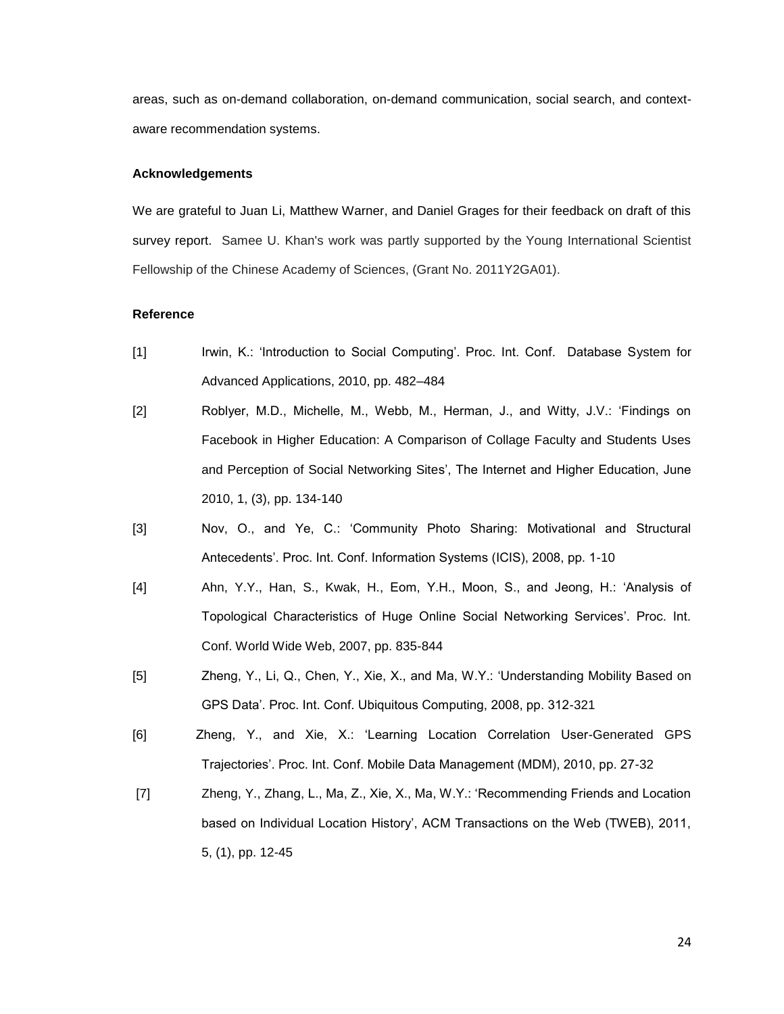areas, such as on-demand collaboration, on-demand communication, social search, and contextaware recommendation systems.

# **Acknowledgements**

We are grateful to Juan Li, Matthew Warner, and Daniel Grages for their feedback on draft of this survey report. Samee U. Khan's work was partly supported by the Young International Scientist Fellowship of the Chinese Academy of Sciences, (Grant No. 2011Y2GA01).

# **Reference**

- [1] Irwin, K.: "Introduction to Social Computing". Proc. Int. Conf. Database System for Advanced Applications, 2010, pp. 482–484
- [2] Roblyer, M.D., Michelle, M., Webb, M., Herman, J., and Witty, J.V.: "Findings on Facebook in Higher Education: A Comparison of Collage Faculty and Students Uses and Perception of Social Networking Sites", The Internet and Higher Education, June 2010, 1, (3), pp. 134-140
- [3] Nov, O., and Ye, C.: "Community Photo Sharing: Motivational and Structural Antecedents". Proc. Int. Conf. Information Systems (ICIS), 2008, pp. 1-10
- [4] Ahn, Y.Y., Han, S., Kwak, H., Eom, Y.H., Moon, S., and Jeong, H.: "Analysis of Topological Characteristics of Huge Online Social Networking Services". Proc. Int. Conf. World Wide Web, 2007, pp. 835-844
- [5] Zheng, Y., Li, Q., Chen, Y., Xie, X., and Ma, W.Y.: "Understanding Mobility Based on GPS Data". Proc. Int. Conf. Ubiquitous Computing, 2008, pp. 312-321
- [6] Zheng, Y., and Xie, X.: "Learning Location Correlation User-Generated GPS Trajectories". Proc. Int. Conf. Mobile Data Management (MDM), 2010, pp. 27-32
- [7] Zheng, Y., Zhang, L., Ma, Z., Xie, X., Ma, W.Y.: "Recommending Friends and Location based on Individual Location History', ACM Transactions on the Web (TWEB), 2011, 5, (1), pp. 12-45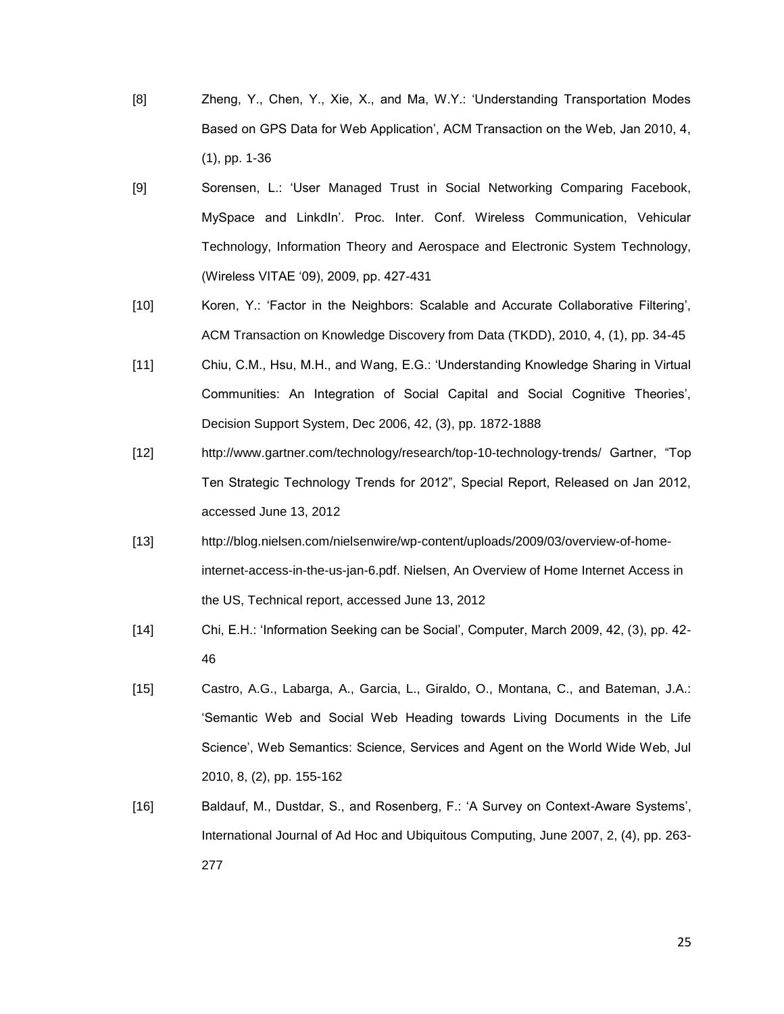- [8] Zheng, Y., Chen, Y., Xie, X., and Ma, W.Y.: "Understanding Transportation Modes Based on GPS Data for Web Application", ACM Transaction on the Web, Jan 2010, 4, (1), pp. 1-36
- [9] Sorensen, L.: "User Managed Trust in Social Networking Comparing Facebook, MySpace and LinkdIn". Proc. Inter. Conf. Wireless Communication, Vehicular Technology, Information Theory and Aerospace and Electronic System Technology, (Wireless VITAE "09), 2009, pp. 427-431
- [10] Koren, Y.: "Factor in the Neighbors: Scalable and Accurate Collaborative Filtering", ACM Transaction on Knowledge Discovery from Data (TKDD), 2010, 4, (1), pp. 34-45
- [11] Chiu, C.M., Hsu, M.H., and Wang, E.G.: "Understanding Knowledge Sharing in Virtual Communities: An Integration of Social Capital and Social Cognitive Theories", Decision Support System, Dec 2006, 42, (3), pp. 1872-1888
- [12] http://www.gartner.com/technology/research/top-10-technology-trends/ Gartner, "Top Ten Strategic Technology Trends for 2012", Special Report, Released on Jan 2012, accessed June 13, 2012
- [13] [http://blog.nielsen.com/nielsenwire/wp-content/uploads/2009/03/overview-of-home](http://blog.nielsen.com/nielsenwire/wp-content/uploads/2009/03/overview-of-home-internet-access-in-the-us-jan-6.pdf)[internet-access-in-the-us-jan-6.pdf.](http://blog.nielsen.com/nielsenwire/wp-content/uploads/2009/03/overview-of-home-internet-access-in-the-us-jan-6.pdf) Nielsen, An Overview of Home Internet Access in the US, Technical report, accessed June 13, 2012
- [14] Chi, E.H.: "Information Seeking can be Social", Computer, March 2009, 42, (3), pp. 42- 46
- [15] Castro, A.G., Labarga, A., Garcia, L., Giraldo, O., Montana, C., and Bateman, J.A.: "Semantic Web and Social Web Heading towards Living Documents in the Life Science", Web Semantics: Science, Services and Agent on the World Wide Web, Jul 2010, 8, (2), pp. 155-162
- [16] Baldauf, M., Dustdar, S., and Rosenberg, F.: 'A Survey on Context-Aware Systems', International Journal of Ad Hoc and Ubiquitous Computing, June 2007, 2, (4), pp. 263- 277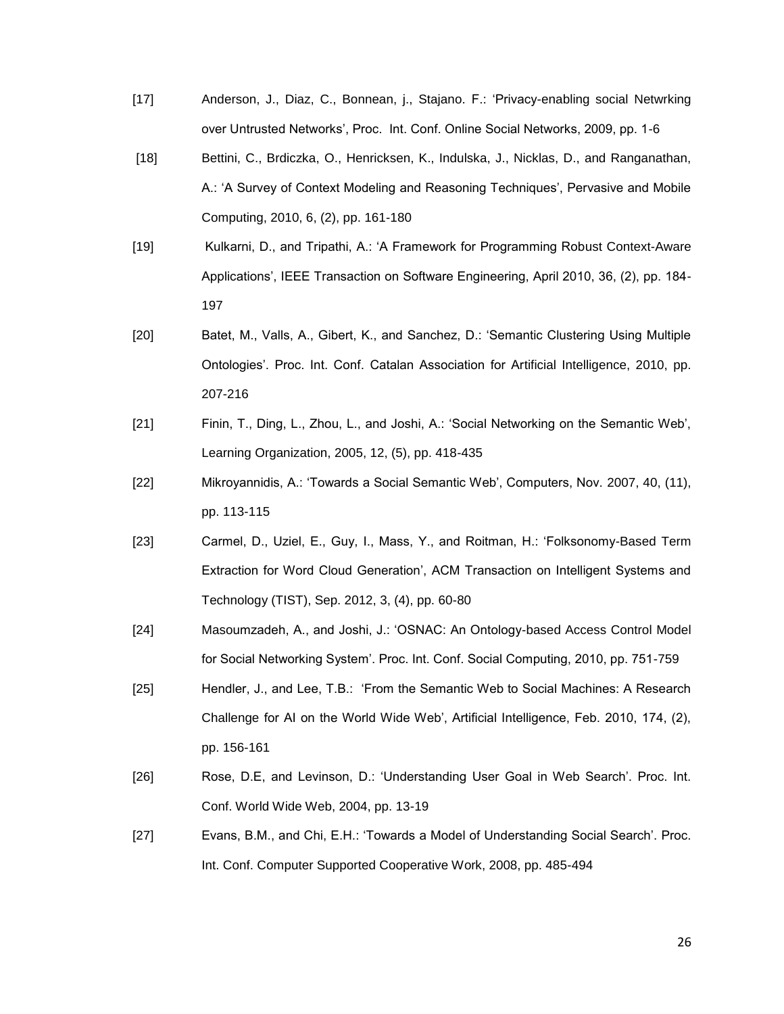- [17] Anderson, J., Diaz, C., Bonnean, j., Stajano. F.: "Privacy-enabling social Netwrking over Untrusted Networks", Proc. Int. Conf. Online Social Networks, 2009, pp. 1-6
- [18] Bettini, C., Brdiczka, O., Henricksen, K., Indulska, J., Nicklas, D., and Ranganathan, A.: "A Survey of Context Modeling and Reasoning Techniques", Pervasive and Mobile Computing, 2010, 6, (2), pp. 161-180
- [19] Kulkarni, D., and Tripathi, A.: "A Framework for Programming Robust Context-Aware Applications', IEEE Transaction on Software Engineering, April 2010, 36, (2), pp. 184-197
- [20] Batet, M., Valls, A., Gibert, K., and Sanchez, D.: "Semantic Clustering Using Multiple Ontologies". Proc. Int. Conf. Catalan Association for Artificial Intelligence, 2010, pp. 207-216
- [21] Finin, T., Ding, L., Zhou, L., and Joshi, A.: 'Social Networking on the Semantic Web', Learning Organization, 2005, 12, (5), pp. 418-435
- [22] Mikroyannidis, A.: "Towards a Social Semantic Web", Computers, Nov. 2007, 40, (11), pp. 113-115
- [23] Carmel, D., Uziel, E., Guy, I., Mass, Y., and Roitman, H.: "Folksonomy-Based Term Extraction for Word Cloud Generation", ACM Transaction on Intelligent Systems and Technology (TIST), Sep. 2012, 3, (4), pp. 60-80
- [24] Masoumzadeh, A., and Joshi, J.: "OSNAC: An Ontology-based Access Control Model for Social Networking System". Proc. Int. Conf. Social Computing, 2010, pp. 751-759
- [25] Hendler, J., and Lee, T.B.: "From the Semantic Web to Social Machines: A Research Challenge for AI on the World Wide Web", Artificial Intelligence, Feb. 2010, 174, (2), pp. 156-161
- [26] Rose, D.E, and Levinson, D.: "Understanding User Goal in Web Search". Proc. Int. Conf. World Wide Web, 2004, pp. 13-19
- [27] Evans, B.M., and Chi, E.H.: "Towards a Model of Understanding Social Search". Proc. Int. Conf. Computer Supported Cooperative Work, 2008, pp. 485-494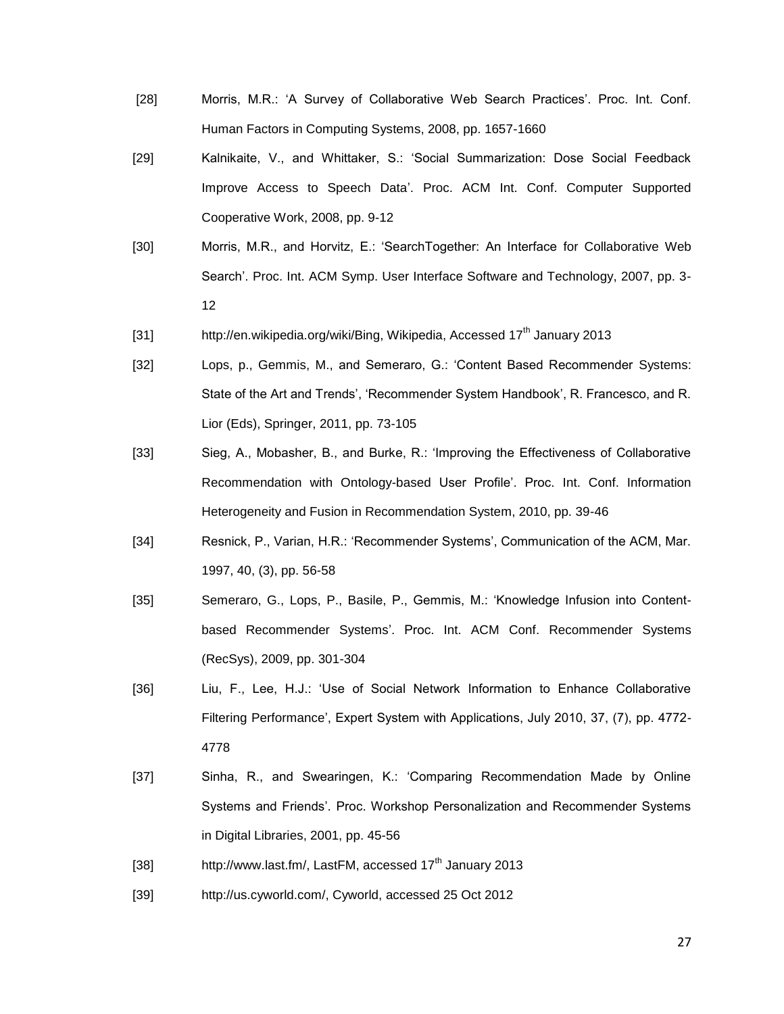- [28] Morris, M.R.: 'A Survey of Collaborative Web Search Practices'. Proc. Int. Conf. Human Factors in Computing Systems, 2008, pp. 1657-1660
- [29] Kalnikaite, V., and Whittaker, S.: "Social Summarization: Dose Social Feedback Improve Access to Speech Data". Proc. ACM Int. Conf. Computer Supported Cooperative Work, 2008, pp. 9-12
- [30] Morris, M.R., and Horvitz, E.: "SearchTogether: An Interface for Collaborative Web Search". Proc. Int. ACM Symp. User Interface Software and Technology, 2007, pp. 3- 12
- [31] http://en.wikipedia.org/wiki/Bing, Wikipedia, Accessed 17<sup>th</sup> January 2013
- [32] Lops, p., Gemmis, M., and Semeraro, G.: "Content Based Recommender Systems: State of the Art and Trends', 'Recommender System Handbook', R. Francesco, and R. Lior (Eds), Springer, 2011, pp. 73-105
- [33] Sieg, A., Mobasher, B., and Burke, R.: "Improving the Effectiveness of Collaborative Recommendation with Ontology-based User Profile". Proc. Int. Conf. Information Heterogeneity and Fusion in Recommendation System, 2010, pp. 39-46
- [34] Resnick, P., Varian, H.R.: 'Recommender Systems', Communication of the ACM, Mar. 1997, 40, (3), pp. 56-58
- [35] Semeraro, G., Lops, P., Basile, P., Gemmis, M.: "Knowledge Infusion into Contentbased Recommender Systems". Proc. Int. ACM Conf. Recommender Systems (RecSys), 2009, pp. 301-304
- [36] Liu, F., Lee, H.J.: "Use of Social Network Information to Enhance Collaborative Filtering Performance", Expert System with Applications, July 2010, 37, (7), pp. 4772- 4778
- [37] Sinha, R., and Swearingen, K.: "Comparing Recommendation Made by Online Systems and Friends". Proc. Workshop Personalization and Recommender Systems in Digital Libraries, 2001, pp. 45-56
- [38] http://www.last.fm/, LastFM, accessed 17<sup>th</sup> January 2013
- [39] http://us.cyworld.com/, Cyworld, accessed 25 Oct 2012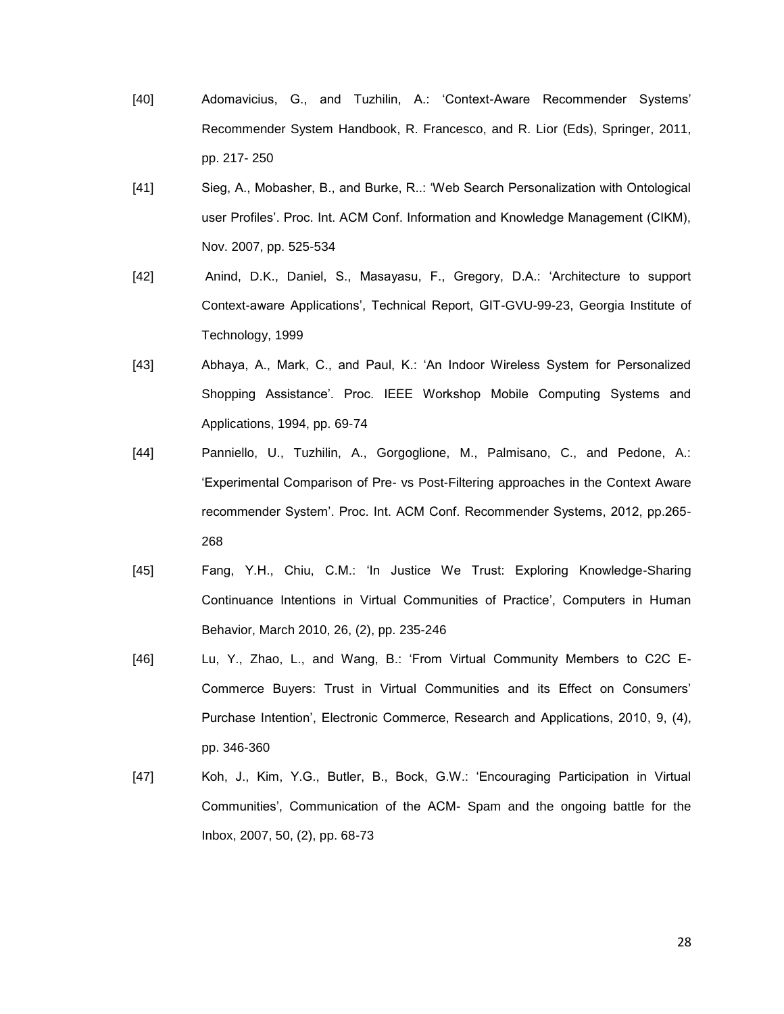- [40] Adomavicius, G., and Tuzhilin, A.: "Context-Aware Recommender Systems" Recommender System Handbook, R. Francesco, and R. Lior (Eds), Springer, 2011, pp. 217- 250
- [41] Sieg, A., Mobasher, B., and Burke, R..: "Web Search Personalization with Ontological user Profiles". Proc. Int. ACM Conf. Information and Knowledge Management (CIKM), Nov. 2007, pp. 525-534
- [42] Anind, D.K., Daniel, S., Masayasu, F., Gregory, D.A.: "Architecture to support Context-aware Applications", Technical Report, GIT-GVU-99-23, Georgia Institute of Technology, 1999
- [43] Abhaya, A., Mark, C., and Paul, K.: "An Indoor Wireless System for Personalized Shopping Assistance". Proc. IEEE Workshop Mobile Computing Systems and Applications, 1994, pp. 69-74
- [44] Panniello, U., Tuzhilin, A., Gorgoglione, M., Palmisano, C., and Pedone, A.: "Experimental Comparison of Pre- vs Post-Filtering approaches in the Context Aware recommender System". Proc. Int. ACM Conf. Recommender Systems, 2012, pp.265- 268
- [45] Fang, Y.H., Chiu, C.M.: "In Justice We Trust: Exploring Knowledge-Sharing Continuance Intentions in Virtual Communities of Practice", Computers in Human Behavior, March 2010, 26, (2), pp. 235-246
- [46] Lu, Y., Zhao, L., and Wang, B.: "From Virtual Community Members to C2C E-Commerce Buyers: Trust in Virtual Communities and its Effect on Consumers" Purchase Intention", Electronic Commerce, Research and Applications, 2010, 9, (4), pp. 346-360
- [47] Koh, J., Kim, Y.G., Butler, B., Bock, G.W.: "Encouraging Participation in Virtual Communities", Communication of the ACM- Spam and the ongoing battle for the Inbox, 2007, 50, (2), pp. 68-73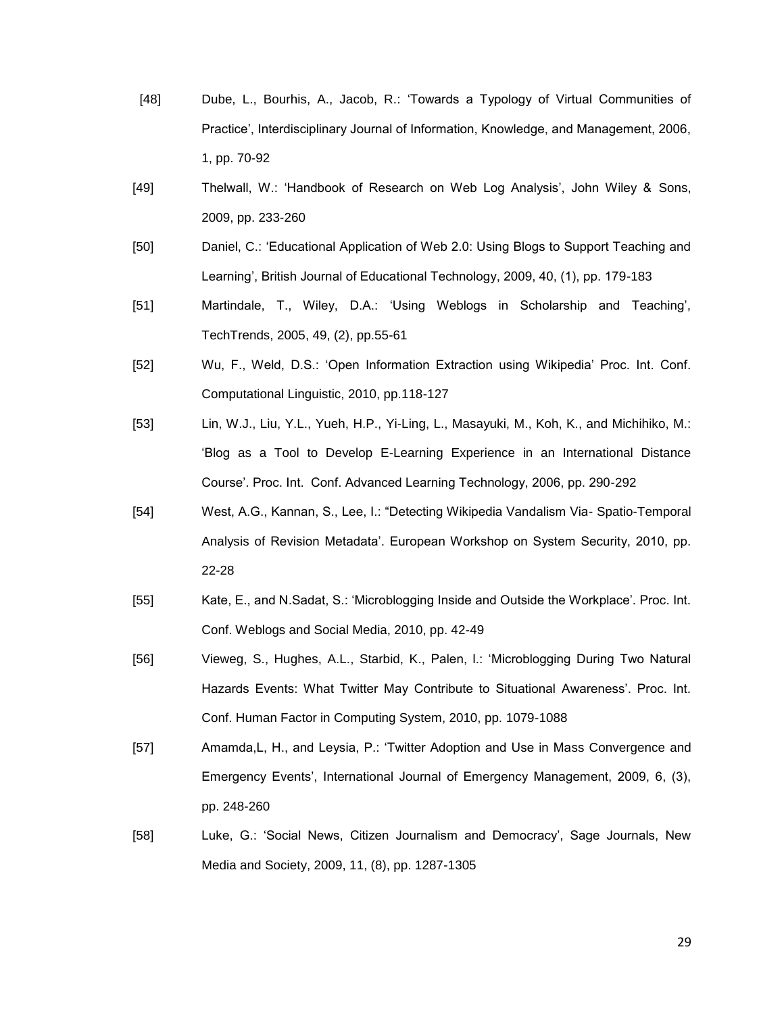- [48] Dube, L., Bourhis, A., Jacob, R.: "Towards a Typology of Virtual Communities of Practice", Interdisciplinary Journal of Information, Knowledge, and Management, 2006, 1, pp. 70-92
- [49] Thelwall, W.: "Handbook of Research on Web Log Analysis", John Wiley & Sons, 2009, pp. 233-260
- [50] Daniel, C.: "Educational Application of Web 2.0: Using Blogs to Support Teaching and Learning', British Journal of Educational Technology, 2009, 40, (1), pp. 179-183
- [51] Martindale, T., Wiley, D.A.: "Using Weblogs in Scholarship and Teaching", TechTrends, 2005, 49, (2), pp.55-61
- [52] Wu, F., Weld, D.S.: "Open Information Extraction using Wikipedia" Proc. Int. Conf. Computational Linguistic, 2010, pp.118-127
- [53] Lin, W.J., Liu, Y.L., Yueh, H.P., Yi-Ling, L., Masayuki, M., Koh, K., and Michihiko, M.: "Blog as a Tool to Develop E-Learning Experience in an International Distance Course". Proc. Int. Conf. Advanced Learning Technology, 2006, pp. 290-292
- [54] West, A.G., Kannan, S., Lee, I.: "Detecting Wikipedia Vandalism Via- Spatio-Temporal Analysis of Revision Metadata". European Workshop on System Security, 2010, pp. 22-28
- [55] Kate, E., and N.Sadat, S.: "Microblogging Inside and Outside the Workplace". Proc. Int. Conf. Weblogs and Social Media, 2010, pp. 42-49
- [56] Vieweg, S., Hughes, A.L., Starbid, K., Palen, l.: "Microblogging During Two Natural Hazards Events: What Twitter May Contribute to Situational Awareness'. Proc. Int. Conf. Human Factor in Computing System, 2010, pp. 1079-1088
- [57] Amamda,L, H., and Leysia, P.: "Twitter Adoption and Use in Mass Convergence and Emergency Events", International Journal of Emergency Management, 2009, 6, (3), pp. 248-260
- [58] Luke, G.: 'Social News, Citizen Journalism and Democracy', Sage Journals, New Media and Society, 2009, 11, (8), pp. 1287-1305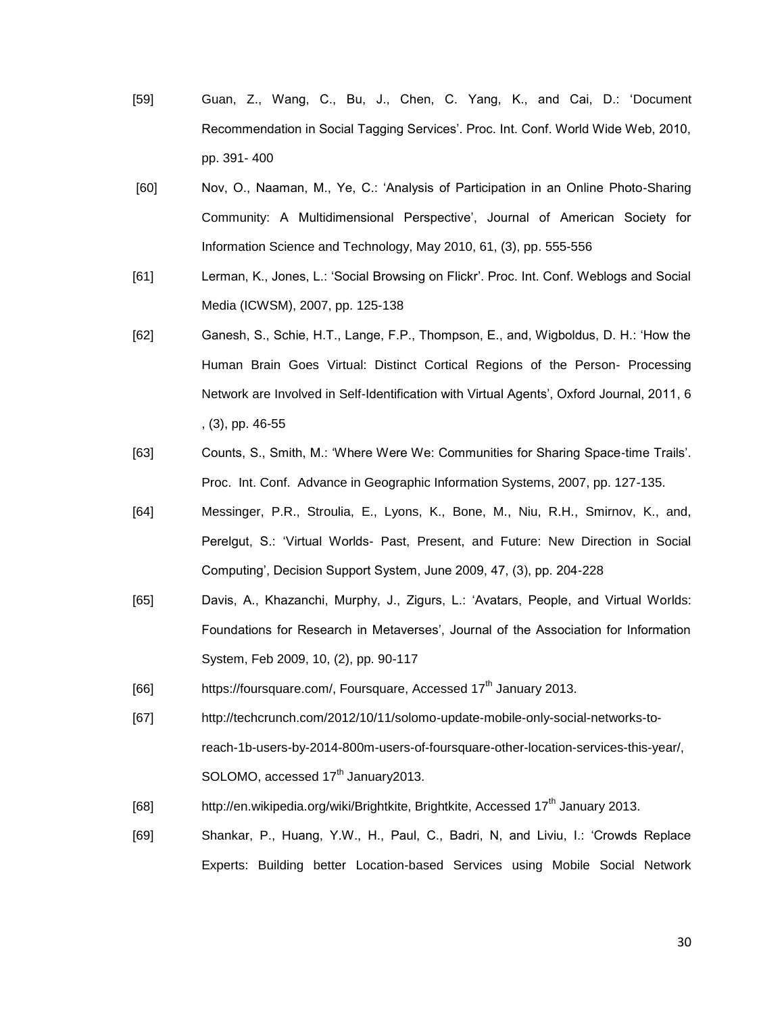- [59] Guan, Z., Wang, C., Bu, J., Chen, C. Yang, K., and Cai, D.: "Document Recommendation in Social Tagging Services". Proc. Int. Conf. World Wide Web, 2010, pp. 391- 400
- [60] Nov, O., Naaman, M., Ye, C.: "Analysis of Participation in an Online Photo-Sharing Community: A Multidimensional Perspective", Journal of American Society for Information Science and Technology, May 2010, 61, (3), pp. 555-556
- [61] Lerman, K., Jones, L.: "Social Browsing on Flickr". Proc. Int. Conf. Weblogs and Social Media (ICWSM), 2007, pp. 125-138
- [62] Ganesh, S., Schie, H.T., Lange, F.P., Thompson, E., and, Wigboldus, D. H.: "How the Human Brain Goes Virtual: Distinct Cortical Regions of the Person- Processing Network are Involved in Self-Identification with Virtual Agents", Oxford Journal, 2011, 6 , (3), pp. 46-55
- [63] Counts, S., Smith, M.: "Where Were We: Communities for Sharing Space-time Trails". Proc. Int. Conf. Advance in Geographic Information Systems, 2007, pp. 127-135.
- [64] Messinger, P.R., Stroulia, E., Lyons, K., Bone, M., Niu, R.H., Smirnov, K., and, Perelgut, S.: "Virtual Worlds- Past, Present, and Future: New Direction in Social Computing", Decision Support System, June 2009, 47, (3), pp. 204-228
- [65] Davis, A., Khazanchi, Murphy, J., Zigurs, L.: "Avatars, People, and Virtual Worlds: Foundations for Research in Metaverses", Journal of the Association for Information System, Feb 2009, 10, (2), pp. 90-117
- [66] https://foursquare.com/, Foursquare, Accessed  $17<sup>th</sup>$  January 2013.
- [67] http://techcrunch.com/2012/10/11/solomo-update-mobile-only-social-networks-toreach-1b-users-by-2014-800m-users-of-foursquare-other-location-services-this-year/, SOLOMO, accessed 17<sup>th</sup> January2013.
- [68] http://en.wikipedia.org/wiki/Brightkite, Brightkite, Accessed  $17<sup>th</sup>$  January 2013.
- [69] Shankar, P., Huang, Y.W., H., Paul, C., Badri, N, and Liviu, I.: "Crowds Replace Experts: Building better Location-based Services using Mobile Social Network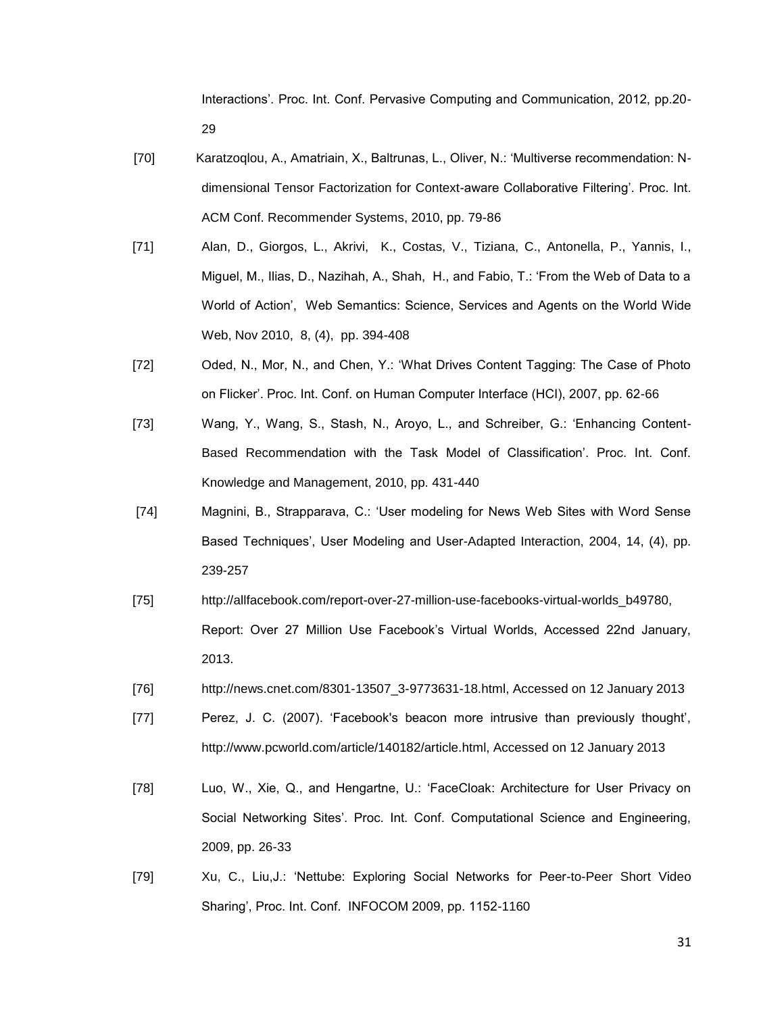Interactions". Proc. Int. Conf. Pervasive Computing and Communication, 2012, pp.20- 29

- [70] Karatzoqlou, A., Amatriain, X., Baltrunas, L., Oliver, N.: "Multiverse recommendation: Ndimensional Tensor Factorization for Context-aware Collaborative Filtering". Proc. Int. ACM Conf. Recommender Systems, 2010, pp. 79-86
- [71] Alan, D., Giorgos, L., Akrivi, K., Costas, V., Tiziana, C., Antonella, P., Yannis, I., Miguel, M., Ilias, D., Nazihah, A., Shah, H., and Fabio, T.: "From the Web of Data to a World of Action", Web Semantics: Science, Services and Agents on the World Wide Web, Nov 2010, 8, (4), pp. 394-408
- [72] Oded, N., Mor, N., and Chen, Y.: "What Drives Content Tagging: The Case of Photo on Flicker". Proc. Int. Conf. on Human Computer Interface (HCI), 2007, pp. 62-66
- [73] Wang, Y., Wang, S., Stash, N., Aroyo, L., and Schreiber, G.: "Enhancing Content-Based Recommendation with the Task Model of Classification". Proc. Int. Conf. Knowledge and Management, 2010, pp. 431-440
- [74] Magnini, B., Strapparava, C.: "User modeling for News Web Sites with Word Sense Based Techniques', User Modeling and User-Adapted Interaction, 2004, 14, (4), pp. 239-257
- [75] http://allfacebook.com/report-over-27-million-use-facebooks-virtual-worlds\_b49780, Report: Over 27 Million Use Facebook"s Virtual Worlds, Accessed 22nd January, 2013.
- [76] [http://news.cnet.com/8301-13507\\_3-9773631-18.html,](http://news.cnet.com/8301-13507_3-9773631-18.html) Accessed on 12 January 2013
- [77] Perez, J. C. (2007). 'Facebook's beacon more intrusive than previously thought', http://www.pcworld.com/article/140182/article.html, Accessed on 12 January 2013
- [78] Luo, W., Xie, Q., and Hengartne, U.: "FaceCloak: Architecture for User Privacy on Social Networking Sites". Proc. Int. Conf. Computational Science and Engineering, 2009, pp. 26-33
- [79] Xu, C., Liu,J.: "Nettube: Exploring Social Networks for Peer-to-Peer Short Video Sharing", Proc. Int. Conf. INFOCOM 2009, pp. 1152-1160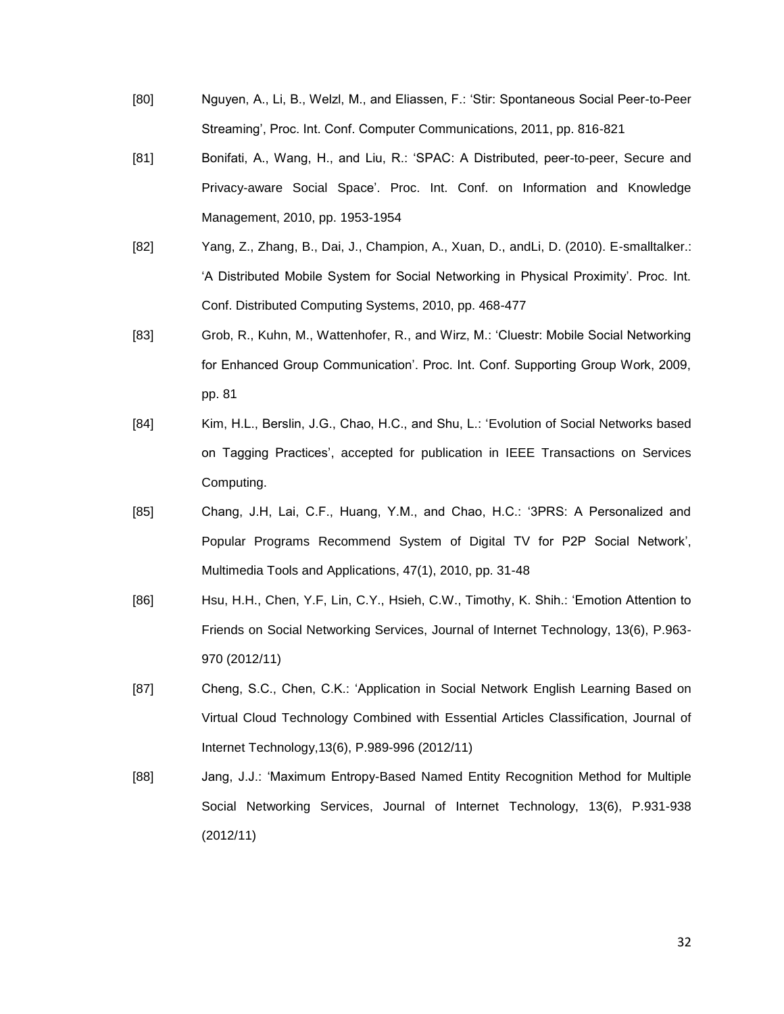- [80] Nguyen, A., Li, B., Welzl, M., and Eliassen, F.: "Stir: Spontaneous Social Peer-to-Peer Streaming", Proc. Int. Conf. Computer Communications, 2011, pp. 816-821
- [81] Bonifati, A., Wang, H., and Liu, R.: "SPAC: A Distributed, peer-to-peer, Secure and Privacy-aware Social Space". Proc. Int. Conf. on Information and Knowledge Management, 2010, pp. 1953-1954
- [82] Yang, Z., Zhang, B., Dai, J., Champion, A., Xuan, D., andLi, D. (2010). E-smalltalker.: "A Distributed Mobile System for Social Networking in Physical Proximity". Proc. Int. Conf. Distributed Computing Systems, 2010, pp. 468-477
- [83] Grob, R., Kuhn, M., Wattenhofer, R., and Wirz, M.: "Cluestr: Mobile Social Networking for Enhanced Group Communication". Proc. Int. Conf. Supporting Group Work, 2009, pp. 81
- [84] Kim, H.L., Berslin, J.G., Chao, H.C., and Shu, L.: "Evolution of Social Networks based on Tagging Practices", accepted for publication in IEEE Transactions on Services Computing.
- [85] Chang, J.H, Lai, C.F., Huang, Y.M., and Chao, H.C.: "3PRS: A Personalized and Popular Programs Recommend System of Digital TV for P2P Social Network', Multimedia Tools and Applications, 47(1), 2010, pp. 31-48
- [86] Hsu, H.H., Chen, Y.F, Lin, C.Y., Hsieh, C.W., Timothy, K. Shih.: "Emotion Attention to Friends on Social Networking Services, Journal of Internet Technology, 13(6), P.963- 970 (2012/11)
- [87] Cheng, S.C., Chen, C.K.: "Application in Social Network English Learning Based on Virtual Cloud Technology Combined with Essential Articles Classification, Journal of Internet Technology,13(6), P.989-996 (2012/11)
- [88] Jang, J.J.: "Maximum Entropy-Based Named Entity Recognition Method for Multiple Social Networking Services, Journal of Internet Technology, 13(6), P.931-938 (2012/11)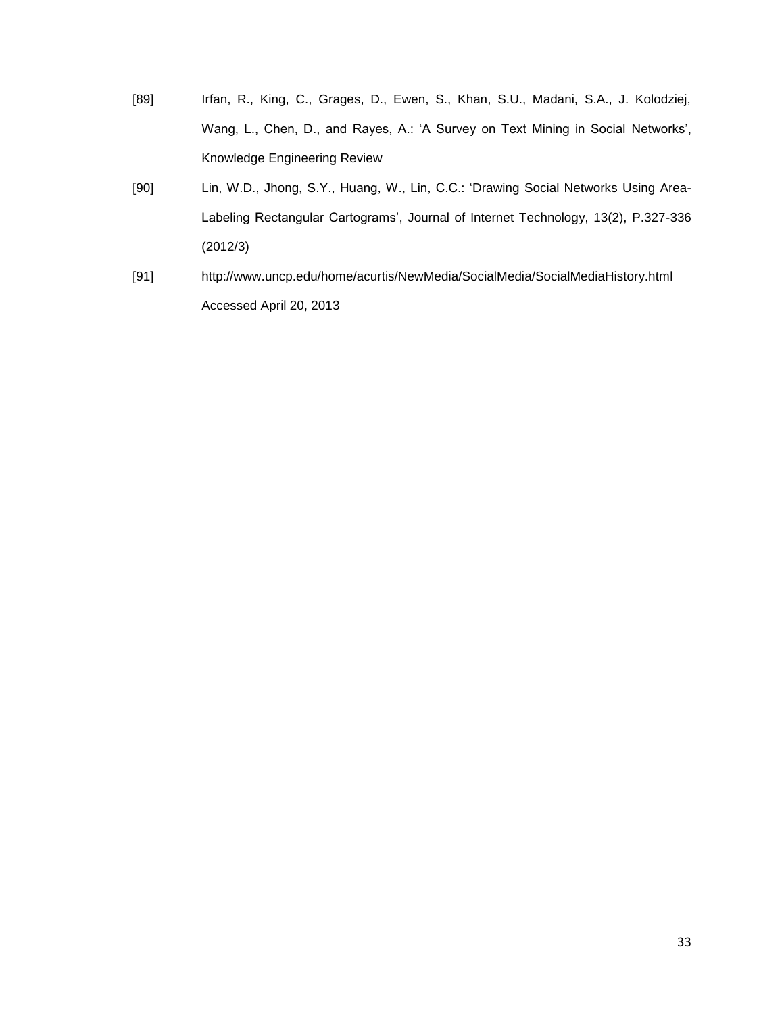- [89] Irfan, R., King, C., Grages, D., Ewen, S., Khan, S.U., Madani, S.A., J. Kolodziej, Wang, L., Chen, D., and Rayes, A.: 'A Survey on Text Mining in Social Networks', Knowledge Engineering Review
- [90] Lin, W.D., Jhong, S.Y., Huang, W., Lin, C.C.: "Drawing Social Networks Using Area-Labeling Rectangular Cartograms', Journal of Internet Technology, 13(2), P.327-336 (2012/3)
- [91] http://www.uncp.edu/home/acurtis/NewMedia/SocialMedia/SocialMediaHistory.html Accessed April 20, 2013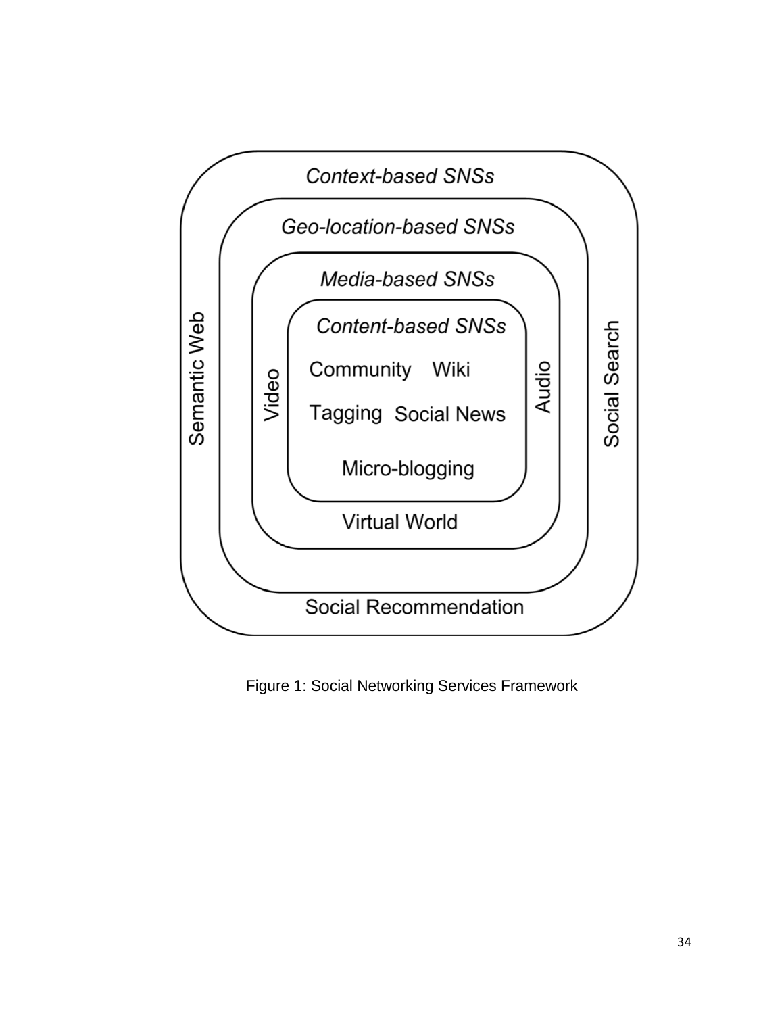

Figure 1: Social Networking Services Framework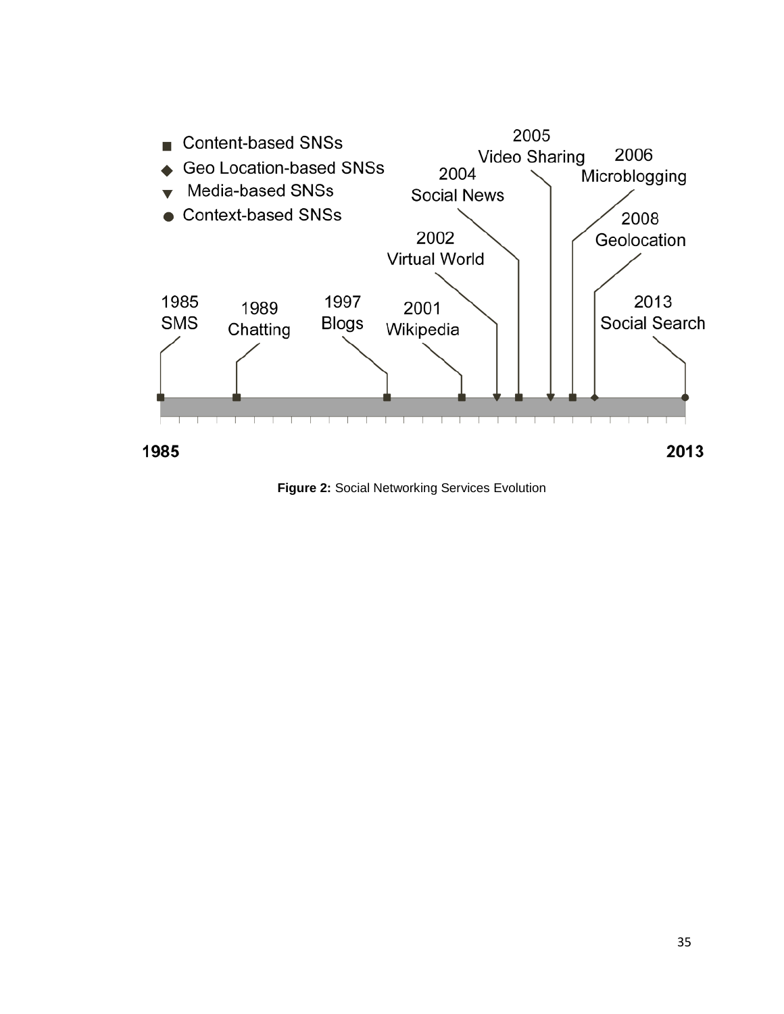

**Figure 2:** Social Networking Services Evolution